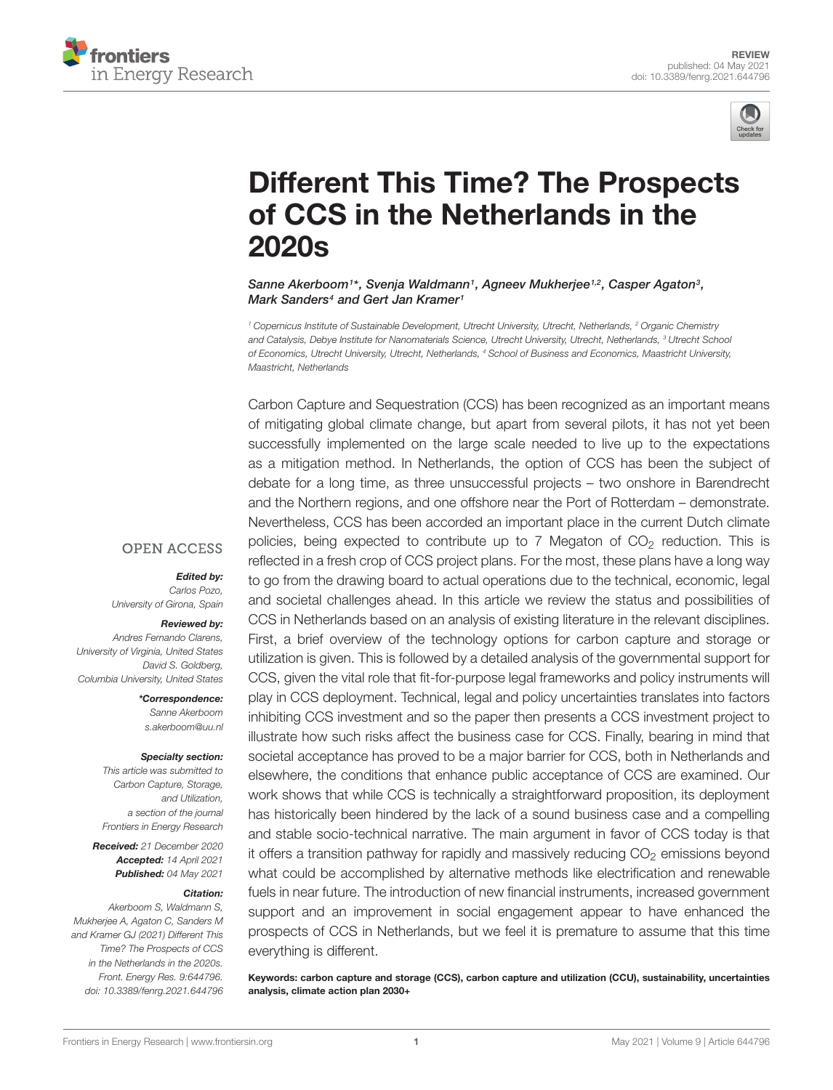



# [Different This Time? The Prospects](https://www.frontiersin.org/articles/10.3389/fenrg.2021.644796/full) of CCS in the Netherlands in the 2020s

Sanne Akerboom<sup>1\*</sup>, Svenja Waldmann<sup>1</sup>, Agneev Mukherjee<sup>1,2</sup>, Casper Agaton<sup>3</sup>, Mark Sanders<sup>4</sup> and Gert Jan Kramer<sup>1</sup>

<sup>1</sup> Copernicus Institute of Sustainable Development, Utrecht University, Utrecht, Netherlands, <sup>2</sup> Organic Chemistry and Catalysis, Debye Institute for Nanomaterials Science, Utrecht University, Utrecht, Netherlands, <sup>3</sup> Utrecht School of Economics, Utrecht University, Utrecht, Netherlands, <sup>4</sup> School of Business and Economics, Maastricht University, Maastricht, Netherlands

Carbon Capture and Sequestration (CCS) has been recognized as an important means of mitigating global climate change, but apart from several pilots, it has not yet been successfully implemented on the large scale needed to live up to the expectations as a mitigation method. In Netherlands, the option of CCS has been the subject of debate for a long time, as three unsuccessful projects – two onshore in Barendrecht and the Northern regions, and one offshore near the Port of Rotterdam – demonstrate. Nevertheless, CCS has been accorded an important place in the current Dutch climate policies, being expected to contribute up to 7 Megaton of  $CO<sub>2</sub>$  reduction. This is reflected in a fresh crop of CCS project plans. For the most, these plans have a long way to go from the drawing board to actual operations due to the technical, economic, legal and societal challenges ahead. In this article we review the status and possibilities of CCS in Netherlands based on an analysis of existing literature in the relevant disciplines. First, a brief overview of the technology options for carbon capture and storage or utilization is given. This is followed by a detailed analysis of the governmental support for CCS, given the vital role that fit-for-purpose legal frameworks and policy instruments will play in CCS deployment. Technical, legal and policy uncertainties translates into factors inhibiting CCS investment and so the paper then presents a CCS investment project to illustrate how such risks affect the business case for CCS. Finally, bearing in mind that societal acceptance has proved to be a major barrier for CCS, both in Netherlands and elsewhere, the conditions that enhance public acceptance of CCS are examined. Our work shows that while CCS is technically a straightforward proposition, its deployment has historically been hindered by the lack of a sound business case and a compelling and stable socio-technical narrative. The main argument in favor of CCS today is that it offers a transition pathway for rapidly and massively reducing  $CO<sub>2</sub>$  emissions beyond what could be accomplished by alternative methods like electrification and renewable fuels in near future. The introduction of new financial instruments, increased government support and an improvement in social engagement appear to have enhanced the prospects of CCS in Netherlands, but we feel it is premature to assume that this time everything is different.

Keywords: carbon capture and storage (CCS), carbon capture and utilization (CCU), sustainability, uncertainties analysis, climate action plan 2030+

### **OPEN ACCESS**

Edited by:

Carlos Pozo, University of Girona, Spain

#### Reviewed by:

Andres Fernando Clarens, University of Virginia, United States David S. Goldberg, Columbia University, United States

> \*Correspondence: Sanne Akerboom s.akerboom@uu.nl

#### Specialty section:

This article was submitted to Carbon Capture, Storage, and Utilization, a section of the journal Frontiers in Energy Research

Received: 21 December 2020 Accepted: 14 April 2021 Published: 04 May 2021

#### Citation:

Akerboom S, Waldmann S, Mukherjee A, Agaton C, Sanders M and Kramer GJ (2021) Different This Time? The Prospects of CCS in the Netherlands in the 2020s. Front. Energy Res. 9:644796. doi: [10.3389/fenrg.2021.644796](https://doi.org/10.3389/fenrg.2021.644796)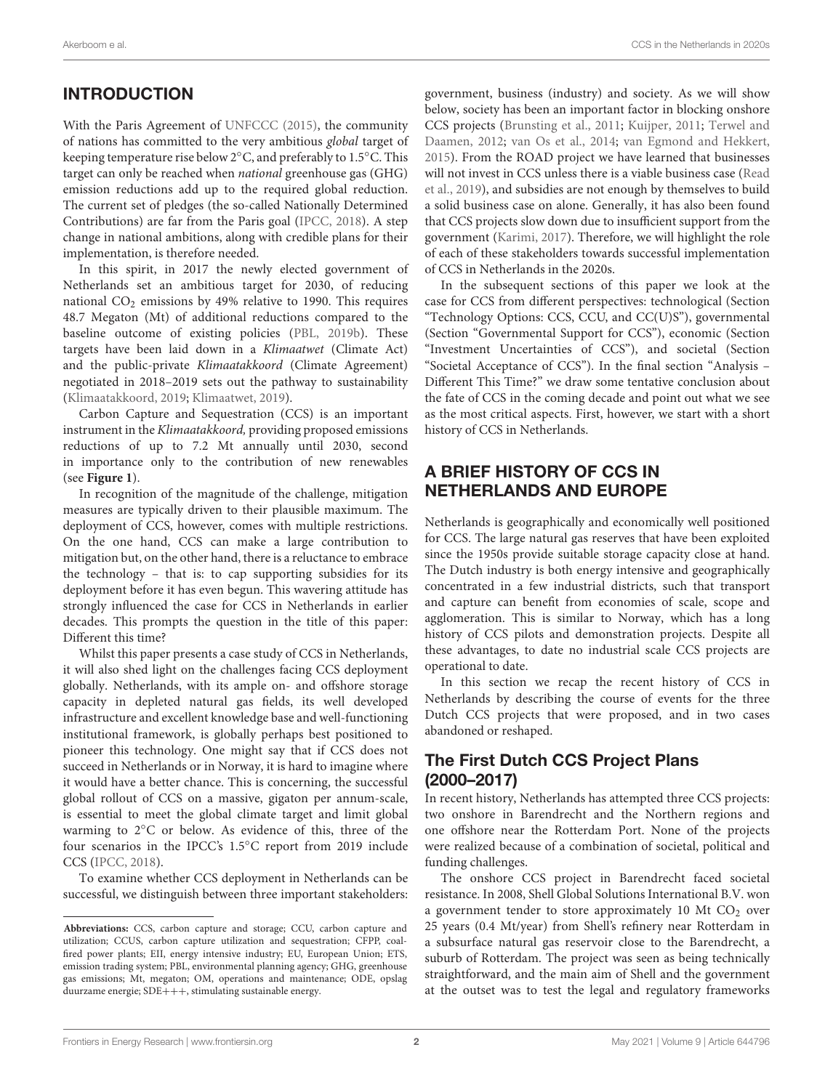# **INTRODUCTION**

With the Paris Agreement of [UNFCCC](#page-15-0) [\(2015\)](#page-15-0), the community of nations has committed to the very ambitious global target of keeping temperature rise below 2◦C, and preferably to 1.5◦C. This target can only be reached when national greenhouse gas (GHG) emission reductions add up to the required global reduction. The current set of pledges (the so-called Nationally Determined Contributions) are far from the Paris goal [\(IPCC,](#page-14-0) [2018\)](#page-14-0). A step change in national ambitions, along with credible plans for their implementation, is therefore needed.

In this spirit, in 2017 the newly elected government of Netherlands set an ambitious target for 2030, of reducing national  $CO<sub>2</sub>$  emissions by 49% relative to 1990. This requires 48.7 Megaton (Mt) of additional reductions compared to the baseline outcome of existing policies [\(PBL,](#page-15-1) [2019b\)](#page-15-1). These targets have been laid down in a Klimaatwet (Climate Act) and the public-private Klimaatakkoord (Climate Agreement) negotiated in 2018–2019 sets out the pathway to sustainability [\(Klimaatakkoord,](#page-14-1) [2019;](#page-14-1) [Klimaatwet,](#page-14-2) [2019\)](#page-14-2).

Carbon Capture and Sequestration (CCS) is an important instrument in the Klimaatakkoord, providing proposed emissions reductions of up to 7.2 Mt annually until 2030, second in importance only to the contribution of new renewables (see **[Figure 1](#page-2-0)**).

In recognition of the magnitude of the challenge, mitigation measures are typically driven to their plausible maximum. The deployment of CCS, however, comes with multiple restrictions. On the one hand, CCS can make a large contribution to mitigation but, on the other hand, there is a reluctance to embrace the technology – that is: to cap supporting subsidies for its deployment before it has even begun. This wavering attitude has strongly influenced the case for CCS in Netherlands in earlier decades. This prompts the question in the title of this paper: Different this time?

Whilst this paper presents a case study of CCS in Netherlands, it will also shed light on the challenges facing CCS deployment globally. Netherlands, with its ample on- and offshore storage capacity in depleted natural gas fields, its well developed infrastructure and excellent knowledge base and well-functioning institutional framework, is globally perhaps best positioned to pioneer this technology. One might say that if CCS does not succeed in Netherlands or in Norway, it is hard to imagine where it would have a better chance. This is concerning, the successful global rollout of CCS on a massive, gigaton per annum-scale, is essential to meet the global climate target and limit global warming to 2◦C or below. As evidence of this, three of the four scenarios in the IPCC's 1.5◦C report from 2019 include CCS [\(IPCC,](#page-14-0) [2018\)](#page-14-0).

To examine whether CCS deployment in Netherlands can be successful, we distinguish between three important stakeholders: government, business (industry) and society. As we will show below, society has been an important factor in blocking onshore CCS projects [\(Brunsting et al.,](#page-13-0) [2011;](#page-13-0) [Kuijper,](#page-14-3) [2011;](#page-14-3) [Terwel and](#page-15-2) [Daamen,](#page-15-2) [2012;](#page-15-2) [van Os et al.,](#page-15-3) [2014;](#page-15-3) [van Egmond and Hekkert,](#page-15-4) [2015\)](#page-15-4). From the ROAD project we have learned that businesses will not invest in CCS unless there is a viable business case [\(Read](#page-15-5) [et al.,](#page-15-5) [2019\)](#page-15-5), and subsidies are not enough by themselves to build a solid business case on alone. Generally, it has also been found that CCS projects slow down due to insufficient support from the government [\(Karimi,](#page-14-4) [2017\)](#page-14-4). Therefore, we will highlight the role of each of these stakeholders towards successful implementation of CCS in Netherlands in the 2020s.

In the subsequent sections of this paper we look at the case for CCS from different perspectives: technological (Section "Technology Options: CCS, CCU, and CC(U)S"), governmental (Section "Governmental Support for CCS"), economic (Section "Investment Uncertainties of CCS"), and societal (Section "Societal Acceptance of CCS"). In the final section "Analysis – Different This Time?" we draw some tentative conclusion about the fate of CCS in the coming decade and point out what we see as the most critical aspects. First, however, we start with a short history of CCS in Netherlands.

### A BRIEF HISTORY OF CCS IN NETHERLANDS AND EUROPE

Netherlands is geographically and economically well positioned for CCS. The large natural gas reserves that have been exploited since the 1950s provide suitable storage capacity close at hand. The Dutch industry is both energy intensive and geographically concentrated in a few industrial districts, such that transport and capture can benefit from economies of scale, scope and agglomeration. This is similar to Norway, which has a long history of CCS pilots and demonstration projects. Despite all these advantages, to date no industrial scale CCS projects are operational to date.

In this section we recap the recent history of CCS in Netherlands by describing the course of events for the three Dutch CCS projects that were proposed, and in two cases abandoned or reshaped.

### The First Dutch CCS Project Plans (2000–2017)

In recent history, Netherlands has attempted three CCS projects: two onshore in Barendrecht and the Northern regions and one offshore near the Rotterdam Port. None of the projects were realized because of a combination of societal, political and funding challenges.

The onshore CCS project in Barendrecht faced societal resistance. In 2008, Shell Global Solutions International B.V. won a government tender to store approximately 10 Mt  $CO<sub>2</sub>$  over 25 years (0.4 Mt/year) from Shell's refinery near Rotterdam in a subsurface natural gas reservoir close to the Barendrecht, a suburb of Rotterdam. The project was seen as being technically straightforward, and the main aim of Shell and the government at the outset was to test the legal and regulatory frameworks

**Abbreviations:** CCS, carbon capture and storage; CCU, carbon capture and utilization; CCUS, carbon capture utilization and sequestration; CFPP, coalfired power plants; EII, energy intensive industry; EU, European Union; ETS, emission trading system; PBL, environmental planning agency; GHG, greenhouse gas emissions; Mt, megaton; OM, operations and maintenance; ODE, opslag duurzame energie; SDE+++, stimulating sustainable energy.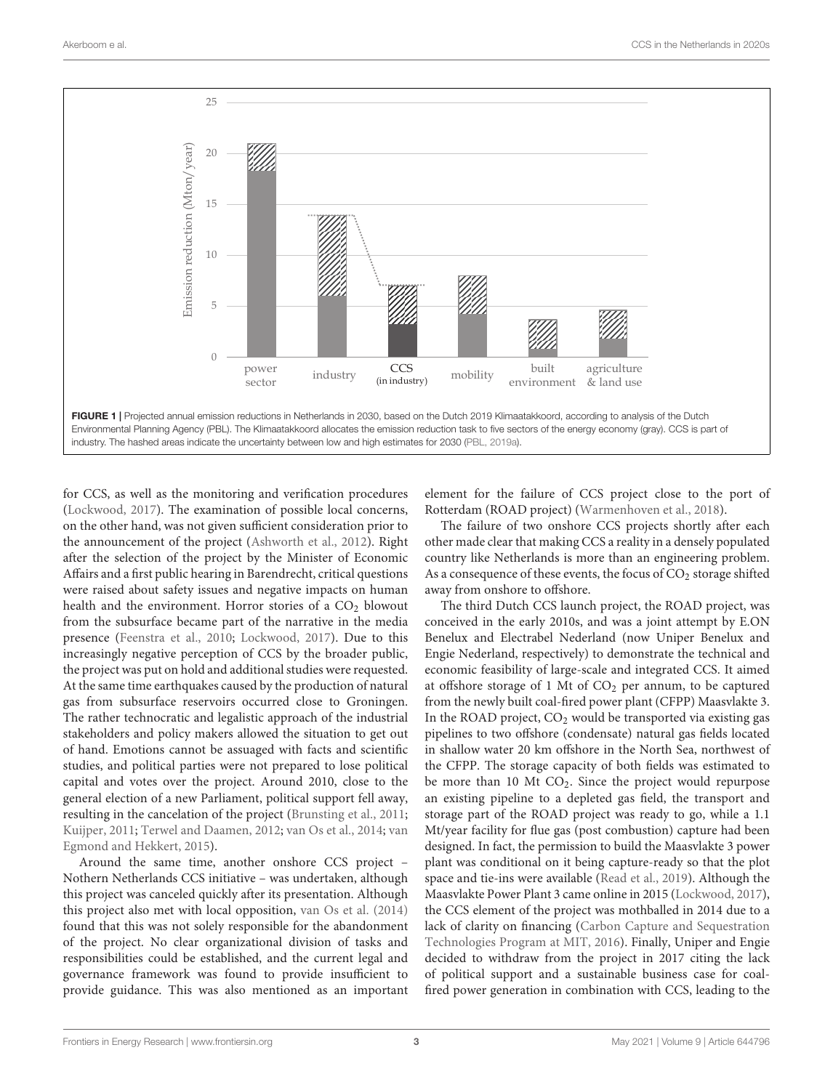

<span id="page-2-0"></span>for CCS, as well as the monitoring and verification procedures [\(Lockwood,](#page-15-7) [2017\)](#page-15-7). The examination of possible local concerns, on the other hand, was not given sufficient consideration prior to the announcement of the project [\(Ashworth et al.,](#page-13-1) [2012\)](#page-13-1). Right after the selection of the project by the Minister of Economic Affairs and a first public hearing in Barendrecht, critical questions were raised about safety issues and negative impacts on human health and the environment. Horror stories of a  $CO<sub>2</sub>$  blowout from the subsurface became part of the narrative in the media presence [\(Feenstra et al.,](#page-14-5) [2010;](#page-14-5) [Lockwood,](#page-15-7) [2017\)](#page-15-7). Due to this increasingly negative perception of CCS by the broader public, the project was put on hold and additional studies were requested. At the same time earthquakes caused by the production of natural gas from subsurface reservoirs occurred close to Groningen. The rather technocratic and legalistic approach of the industrial stakeholders and policy makers allowed the situation to get out of hand. Emotions cannot be assuaged with facts and scientific studies, and political parties were not prepared to lose political capital and votes over the project. Around 2010, close to the general election of a new Parliament, political support fell away, resulting in the cancelation of the project [\(Brunsting et al.,](#page-13-0) [2011;](#page-13-0) [Kuijper,](#page-14-3) [2011;](#page-14-3) [Terwel and Daamen,](#page-15-2) [2012;](#page-15-2) [van Os et al.,](#page-15-3) [2014;](#page-15-3) [van](#page-15-4) [Egmond and Hekkert,](#page-15-4) [2015\)](#page-15-4).

Around the same time, another onshore CCS project – Nothern Netherlands CCS initiative – was undertaken, although this project was canceled quickly after its presentation. Although this project also met with local opposition, [van Os et al.](#page-15-3) [\(2014\)](#page-15-3) found that this was not solely responsible for the abandonment of the project. No clear organizational division of tasks and responsibilities could be established, and the current legal and governance framework was found to provide insufficient to provide guidance. This was also mentioned as an important

element for the failure of CCS project close to the port of Rotterdam (ROAD project) [\(Warmenhoven et al.,](#page-15-8) [2018\)](#page-15-8).

The failure of two onshore CCS projects shortly after each other made clear that making CCS a reality in a densely populated country like Netherlands is more than an engineering problem. As a consequence of these events, the focus of  $CO<sub>2</sub>$  storage shifted away from onshore to offshore.

The third Dutch CCS launch project, the ROAD project, was conceived in the early 2010s, and was a joint attempt by E.ON Benelux and Electrabel Nederland (now Uniper Benelux and Engie Nederland, respectively) to demonstrate the technical and economic feasibility of large-scale and integrated CCS. It aimed at offshore storage of 1 Mt of  $CO<sub>2</sub>$  per annum, to be captured from the newly built coal-fired power plant (CFPP) Maasvlakte 3. In the ROAD project,  $CO<sub>2</sub>$  would be transported via existing gas pipelines to two offshore (condensate) natural gas fields located in shallow water 20 km offshore in the North Sea, northwest of the CFPP. The storage capacity of both fields was estimated to be more than 10 Mt CO<sub>2</sub>. Since the project would repurpose an existing pipeline to a depleted gas field, the transport and storage part of the ROAD project was ready to go, while a 1.1 Mt/year facility for flue gas (post combustion) capture had been designed. In fact, the permission to build the Maasvlakte 3 power plant was conditional on it being capture-ready so that the plot space and tie-ins were available [\(Read et al.,](#page-15-5) [2019\)](#page-15-5). Although the Maasvlakte Power Plant 3 came online in 2015 [\(Lockwood,](#page-15-7) [2017\)](#page-15-7), the CCS element of the project was mothballed in 2014 due to a lack of clarity on financing [\(Carbon Capture and Sequestration](#page-14-6) [Technologies Program at MIT,](#page-14-6) [2016\)](#page-14-6). Finally, Uniper and Engie decided to withdraw from the project in 2017 citing the lack of political support and a sustainable business case for coalfired power generation in combination with CCS, leading to the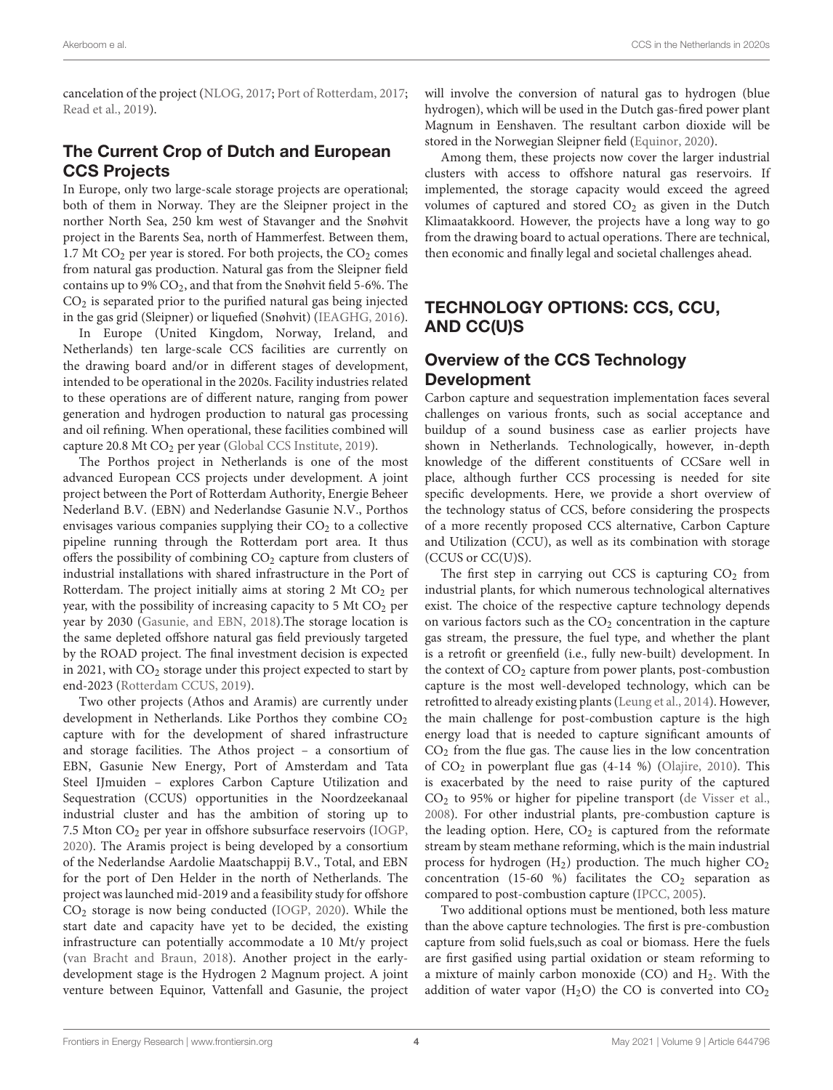cancelation of the project [\(NLOG,](#page-15-9) [2017;](#page-15-9) [Port of Rotterdam,](#page-15-10) [2017;](#page-15-10) [Read et al.,](#page-15-5) [2019\)](#page-15-5).

# The Current Crop of Dutch and European CCS Projects

In Europe, only two large-scale storage projects are operational; both of them in Norway. They are the Sleipner project in the norther North Sea, 250 km west of Stavanger and the Snøhvit project in the Barents Sea, north of Hammerfest. Between them, 1.7 Mt  $CO<sub>2</sub>$  per year is stored. For both projects, the  $CO<sub>2</sub>$  comes from natural gas production. Natural gas from the Sleipner field contains up to  $9\%$   $CO_2$ , and that from the Snøhvit field 5-6%. The CO<sup>2</sup> is separated prior to the purified natural gas being injected in the gas grid (Sleipner) or liquefied (Snøhvit) [\(IEAGHG,](#page-14-7) [2016\)](#page-14-7).

In Europe (United Kingdom, Norway, Ireland, and Netherlands) ten large-scale CCS facilities are currently on the drawing board and/or in different stages of development, intended to be operational in the 2020s. Facility industries related to these operations are of different nature, ranging from power generation and hydrogen production to natural gas processing and oil refining. When operational, these facilities combined will capture 20.8 Mt CO<sub>2</sub> per year [\(Global CCS Institute,](#page-14-8) [2019\)](#page-14-8).

The Porthos project in Netherlands is one of the most advanced European CCS projects under development. A joint project between the Port of Rotterdam Authority, Energie Beheer Nederland B.V. (EBN) and Nederlandse Gasunie N.V., Porthos envisages various companies supplying their  $CO<sub>2</sub>$  to a collective pipeline running through the Rotterdam port area. It thus offers the possibility of combining CO<sub>2</sub> capture from clusters of industrial installations with shared infrastructure in the Port of Rotterdam. The project initially aims at storing  $2$  Mt  $CO<sub>2</sub>$  per year, with the possibility of increasing capacity to  $5$  Mt  $CO<sub>2</sub>$  per year by 2030 [\(Gasunie, and EBN,](#page-14-9) [2018\)](#page-14-9).The storage location is the same depleted offshore natural gas field previously targeted by the ROAD project. The final investment decision is expected in 2021, with  $CO<sub>2</sub>$  storage under this project expected to start by end-2023 [\(Rotterdam CCUS,](#page-15-11) [2019\)](#page-15-11).

Two other projects (Athos and Aramis) are currently under development in Netherlands. Like Porthos they combine  $CO<sub>2</sub>$ capture with for the development of shared infrastructure and storage facilities. The Athos project – a consortium of EBN, Gasunie New Energy, Port of Amsterdam and Tata Steel IJmuiden – explores Carbon Capture Utilization and Sequestration (CCUS) opportunities in the Noordzeekanaal industrial cluster and has the ambition of storing up to 7.5 Mton CO<sup>2</sup> per year in offshore subsurface reservoirs [\(IOGP,](#page-14-10) [2020\)](#page-14-10). The Aramis project is being developed by a consortium of the Nederlandse Aardolie Maatschappij B.V., Total, and EBN for the port of Den Helder in the north of Netherlands. The project was launched mid-2019 and a feasibility study for offshore  $CO<sub>2</sub>$  storage is now being conducted [\(IOGP,](#page-14-10) [2020\)](#page-14-10). While the start date and capacity have yet to be decided, the existing infrastructure can potentially accommodate a 10 Mt/y project [\(van Bracht and Braun,](#page-15-12) [2018\)](#page-15-12). Another project in the earlydevelopment stage is the Hydrogen 2 Magnum project. A joint venture between Equinor, Vattenfall and Gasunie, the project

will involve the conversion of natural gas to hydrogen (blue hydrogen), which will be used in the Dutch gas-fired power plant Magnum in Eenshaven. The resultant carbon dioxide will be stored in the Norwegian Sleipner field [\(Equinor,](#page-14-11) [2020\)](#page-14-11).

Among them, these projects now cover the larger industrial clusters with access to offshore natural gas reservoirs. If implemented, the storage capacity would exceed the agreed volumes of captured and stored  $CO<sub>2</sub>$  as given in the Dutch Klimaatakkoord. However, the projects have a long way to go from the drawing board to actual operations. There are technical, then economic and finally legal and societal challenges ahead.

## TECHNOLOGY OPTIONS: CCS, CCU, AND CC(U)S

### Overview of the CCS Technology Development

Carbon capture and sequestration implementation faces several challenges on various fronts, such as social acceptance and buildup of a sound business case as earlier projects have shown in Netherlands. Technologically, however, in-depth knowledge of the different constituents of CCSare well in place, although further CCS processing is needed for site specific developments. Here, we provide a short overview of the technology status of CCS, before considering the prospects of a more recently proposed CCS alternative, Carbon Capture and Utilization (CCU), as well as its combination with storage (CCUS or CC(U)S).

The first step in carrying out CCS is capturing  $CO<sub>2</sub>$  from industrial plants, for which numerous technological alternatives exist. The choice of the respective capture technology depends on various factors such as the  $CO<sub>2</sub>$  concentration in the capture gas stream, the pressure, the fuel type, and whether the plant is a retrofit or greenfield (i.e., fully new-built) development. In the context of  $CO<sub>2</sub>$  capture from power plants, post-combustion capture is the most well-developed technology, which can be retrofitted to already existing plants [\(Leung et al.,](#page-14-12) [2014\)](#page-14-12). However, the main challenge for post-combustion capture is the high energy load that is needed to capture significant amounts of  $CO<sub>2</sub>$  from the flue gas. The cause lies in the low concentration of  $CO<sub>2</sub>$  in powerplant flue gas (4-14 %) [\(Olajire,](#page-15-13) [2010\)](#page-15-13). This is exacerbated by the need to raise purity of the captured  $CO<sub>2</sub>$  to 95% or higher for pipeline transport [\(de Visser et al.,](#page-14-13) [2008\)](#page-14-13). For other industrial plants, pre-combustion capture is the leading option. Here,  $CO<sub>2</sub>$  is captured from the reformate stream by steam methane reforming, which is the main industrial process for hydrogen  $(H_2)$  production. The much higher  $CO<sub>2</sub>$ concentration (15-60 %) facilitates the  $CO<sub>2</sub>$  separation as compared to post-combustion capture [\(IPCC,](#page-14-14) [2005\)](#page-14-14).

Two additional options must be mentioned, both less mature than the above capture technologies. The first is pre-combustion capture from solid fuels,such as coal or biomass. Here the fuels are first gasified using partial oxidation or steam reforming to a mixture of mainly carbon monoxide (CO) and H2. With the addition of water vapor  $(H<sub>2</sub>O)$  the CO is converted into  $CO<sub>2</sub>$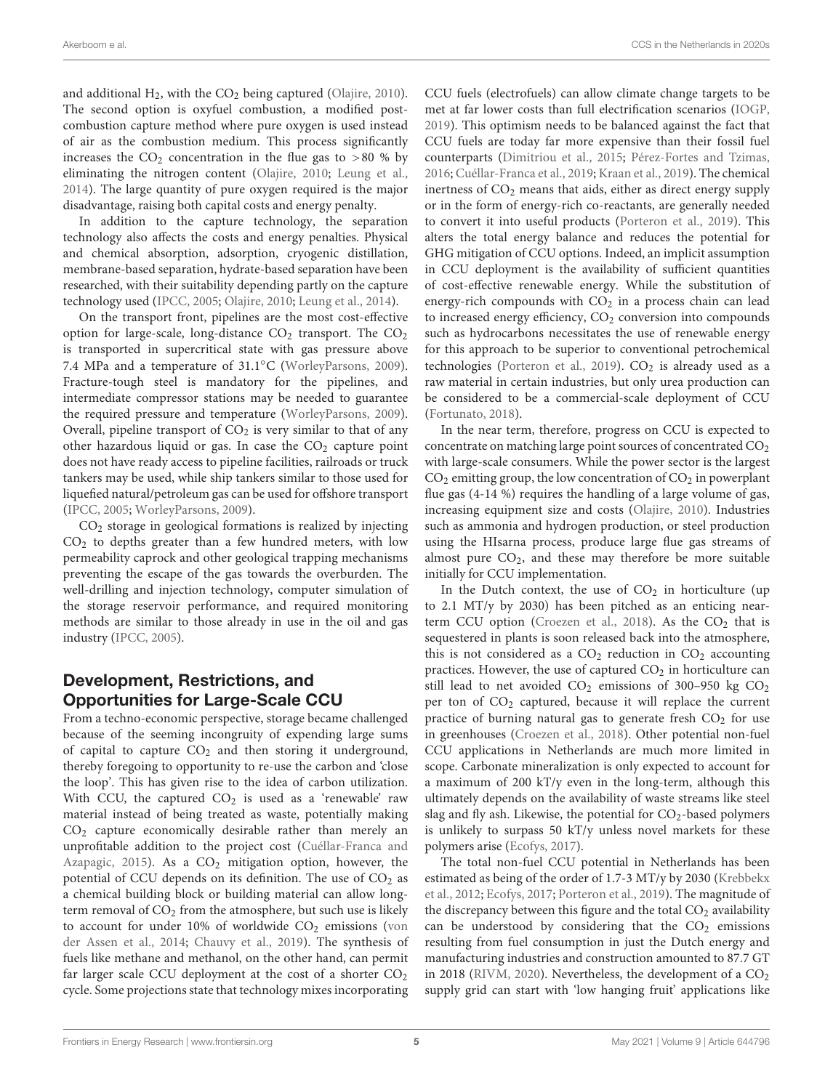and additional  $H_2$ , with the  $CO_2$  being captured [\(Olajire,](#page-15-13) [2010\)](#page-15-13). The second option is oxyfuel combustion, a modified postcombustion capture method where pure oxygen is used instead of air as the combustion medium. This process significantly increases the  $CO<sub>2</sub>$  concentration in the flue gas to  $>80\%$  by eliminating the nitrogen content [\(Olajire,](#page-15-13) [2010;](#page-15-13) [Leung et al.,](#page-14-12) [2014\)](#page-14-12). The large quantity of pure oxygen required is the major disadvantage, raising both capital costs and energy penalty.

In addition to the capture technology, the separation technology also affects the costs and energy penalties. Physical and chemical absorption, adsorption, cryogenic distillation, membrane-based separation, hydrate-based separation have been researched, with their suitability depending partly on the capture technology used [\(IPCC,](#page-14-14) [2005;](#page-14-14) [Olajire,](#page-15-13) [2010;](#page-15-13) [Leung et al.,](#page-14-12) [2014\)](#page-14-12).

On the transport front, pipelines are the most cost-effective option for large-scale, long-distance  $CO<sub>2</sub>$  transport. The  $CO<sub>2</sub>$ is transported in supercritical state with gas pressure above 7.4 MPa and a temperature of 31.1◦C [\(WorleyParsons,](#page-16-0) [2009\)](#page-16-0). Fracture-tough steel is mandatory for the pipelines, and intermediate compressor stations may be needed to guarantee the required pressure and temperature [\(WorleyParsons,](#page-16-0) [2009\)](#page-16-0). Overall, pipeline transport of  $CO<sub>2</sub>$  is very similar to that of any other hazardous liquid or gas. In case the  $CO<sub>2</sub>$  capture point does not have ready access to pipeline facilities, railroads or truck tankers may be used, while ship tankers similar to those used for liquefied natural/petroleum gas can be used for offshore transport [\(IPCC,](#page-14-14) [2005;](#page-14-14) [WorleyParsons,](#page-16-0) [2009\)](#page-16-0).

 $CO<sub>2</sub>$  storage in geological formations is realized by injecting  $CO<sub>2</sub>$  to depths greater than a few hundred meters, with low permeability caprock and other geological trapping mechanisms preventing the escape of the gas towards the overburden. The well-drilling and injection technology, computer simulation of the storage reservoir performance, and required monitoring methods are similar to those already in use in the oil and gas industry [\(IPCC,](#page-14-14) [2005\)](#page-14-14).

### Development, Restrictions, and Opportunities for Large-Scale CCU

From a techno-economic perspective, storage became challenged because of the seeming incongruity of expending large sums of capital to capture  $CO<sub>2</sub>$  and then storing it underground, thereby foregoing to opportunity to re-use the carbon and 'close the loop'. This has given rise to the idea of carbon utilization. With CCU, the captured  $CO<sub>2</sub>$  is used as a 'renewable' raw material instead of being treated as waste, potentially making CO<sup>2</sup> capture economically desirable rather than merely an unprofitable addition to the project cost [\(Cuéllar-Franca and](#page-14-15) [Azapagic,](#page-14-15) [2015\)](#page-14-15). As a  $CO<sub>2</sub>$  mitigation option, however, the potential of CCU depends on its definition. The use of  $CO<sub>2</sub>$  as a chemical building block or building material can allow longterm removal of  $CO<sub>2</sub>$  from the atmosphere, but such use is likely to account for under 10% of worldwide  $CO<sub>2</sub>$  emissions [\(von](#page-15-14) [der Assen et al.,](#page-15-14) [2014;](#page-15-14) [Chauvy et al.,](#page-14-16) [2019\)](#page-14-16). The synthesis of fuels like methane and methanol, on the other hand, can permit far larger scale CCU deployment at the cost of a shorter CO<sub>2</sub> cycle. Some projections state that technology mixes incorporating CCU fuels (electrofuels) can allow climate change targets to be met at far lower costs than full electrification scenarios [\(IOGP,](#page-14-17) [2019\)](#page-14-17). This optimism needs to be balanced against the fact that CCU fuels are today far more expensive than their fossil fuel counterparts [\(Dimitriou et al.,](#page-14-18) [2015;](#page-14-18) [Pérez-Fortes and Tzimas,](#page-15-15) [2016;](#page-15-15) [Cuéllar-Franca et al.,](#page-14-19) [2019;](#page-14-19) [Kraan et al.,](#page-14-20) [2019\)](#page-14-20). The chemical inertness of  $CO<sub>2</sub>$  means that aids, either as direct energy supply or in the form of energy-rich co-reactants, are generally needed to convert it into useful products [\(Porteron et al.,](#page-15-16) [2019\)](#page-15-16). This alters the total energy balance and reduces the potential for GHG mitigation of CCU options. Indeed, an implicit assumption in CCU deployment is the availability of sufficient quantities of cost-effective renewable energy. While the substitution of energy-rich compounds with  $CO<sub>2</sub>$  in a process chain can lead to increased energy efficiency, CO<sub>2</sub> conversion into compounds such as hydrocarbons necessitates the use of renewable energy for this approach to be superior to conventional petrochemical technologies [\(Porteron et al.,](#page-15-16) [2019\)](#page-15-16).  $CO<sub>2</sub>$  is already used as a raw material in certain industries, but only urea production can be considered to be a commercial-scale deployment of CCU [\(Fortunato,](#page-14-21) [2018\)](#page-14-21).

In the near term, therefore, progress on CCU is expected to concentrate on matching large point sources of concentrated  $CO<sub>2</sub>$ with large-scale consumers. While the power sector is the largest  $CO<sub>2</sub>$  emitting group, the low concentration of  $CO<sub>2</sub>$  in powerplant flue gas (4-14 %) requires the handling of a large volume of gas, increasing equipment size and costs [\(Olajire,](#page-15-13) [2010\)](#page-15-13). Industries such as ammonia and hydrogen production, or steel production using the HIsarna process, produce large flue gas streams of almost pure  $CO<sub>2</sub>$ , and these may therefore be more suitable initially for CCU implementation.

In the Dutch context, the use of  $CO<sub>2</sub>$  in horticulture (up to 2.1 MT/y by 2030) has been pitched as an enticing near-term CCU option [\(Croezen et al.,](#page-14-22) [2018\)](#page-14-22). As the  $CO<sub>2</sub>$  that is sequestered in plants is soon released back into the atmosphere, this is not considered as a  $CO<sub>2</sub>$  reduction in  $CO<sub>2</sub>$  accounting practices. However, the use of captured  $CO<sub>2</sub>$  in horticulture can still lead to net avoided  $CO<sub>2</sub>$  emissions of 300-950 kg  $CO<sub>2</sub>$ per ton of  $CO<sub>2</sub>$  captured, because it will replace the current practice of burning natural gas to generate fresh  $CO<sub>2</sub>$  for use in greenhouses [\(Croezen et al.,](#page-14-22) [2018\)](#page-14-22). Other potential non-fuel CCU applications in Netherlands are much more limited in scope. Carbonate mineralization is only expected to account for a maximum of 200 kT/y even in the long-term, although this ultimately depends on the availability of waste streams like steel slag and fly ash. Likewise, the potential for  $CO<sub>2</sub>$ -based polymers is unlikely to surpass 50 kT/y unless novel markets for these polymers arise [\(Ecofys,](#page-14-23) [2017\)](#page-14-23).

The total non-fuel CCU potential in Netherlands has been estimated as being of the order of 1.7-3 MT/y by 2030 [\(Krebbekx](#page-14-24) [et al.,](#page-14-24) [2012;](#page-14-24) [Ecofys,](#page-14-23) [2017;](#page-14-23) [Porteron et al.,](#page-15-16) [2019\)](#page-15-16). The magnitude of the discrepancy between this figure and the total  $CO<sub>2</sub>$  availability can be understood by considering that the  $CO<sub>2</sub>$  emissions resulting from fuel consumption in just the Dutch energy and manufacturing industries and construction amounted to 87.7 GT in 2018 [\(RIVM,](#page-15-17) [2020\)](#page-15-17). Nevertheless, the development of a  $CO<sub>2</sub>$ supply grid can start with 'low hanging fruit' applications like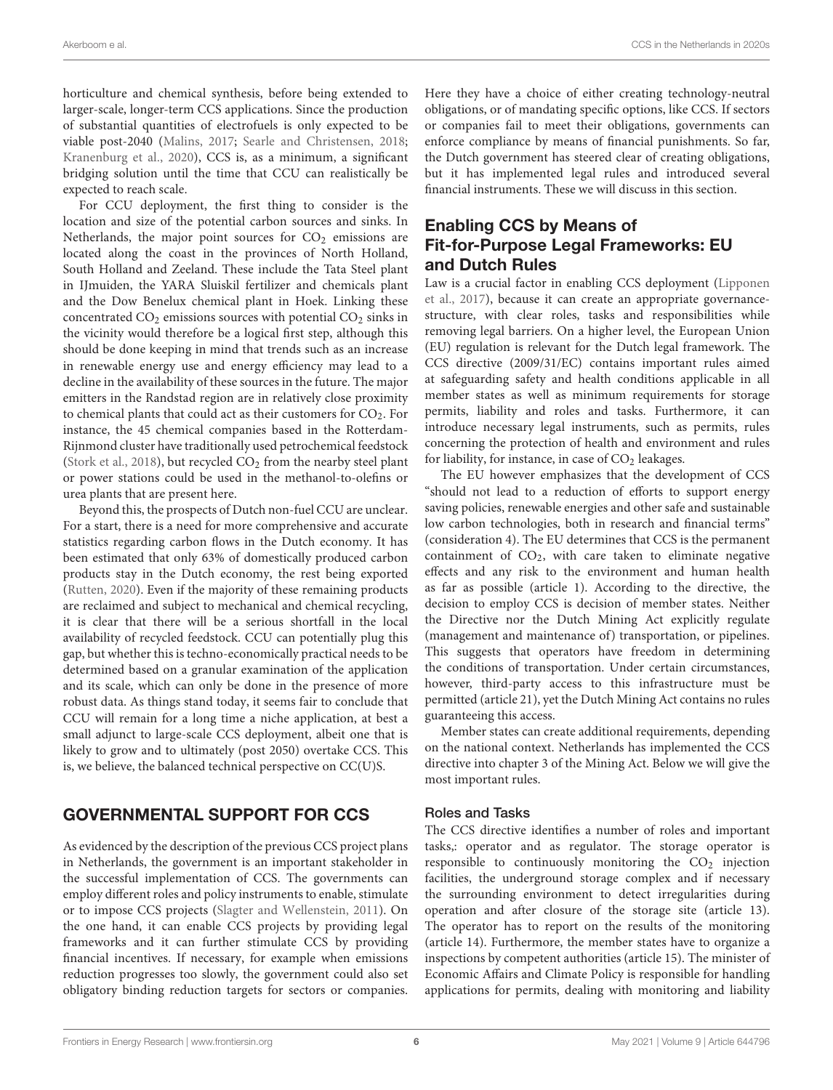horticulture and chemical synthesis, before being extended to larger-scale, longer-term CCS applications. Since the production of substantial quantities of electrofuels is only expected to be viable post-2040 [\(Malins,](#page-15-18) [2017;](#page-15-18) [Searle and Christensen,](#page-15-19) [2018;](#page-15-19) [Kranenburg et al.,](#page-14-25) [2020\)](#page-14-25), CCS is, as a minimum, a significant bridging solution until the time that CCU can realistically be expected to reach scale.

For CCU deployment, the first thing to consider is the location and size of the potential carbon sources and sinks. In Netherlands, the major point sources for  $CO<sub>2</sub>$  emissions are located along the coast in the provinces of North Holland, South Holland and Zeeland. These include the Tata Steel plant in IJmuiden, the YARA Sluiskil fertilizer and chemicals plant and the Dow Benelux chemical plant in Hoek. Linking these concentrated  $CO_2$  emissions sources with potential  $CO_2$  sinks in the vicinity would therefore be a logical first step, although this should be done keeping in mind that trends such as an increase in renewable energy use and energy efficiency may lead to a decline in the availability of these sources in the future. The major emitters in the Randstad region are in relatively close proximity to chemical plants that could act as their customers for  $CO<sub>2</sub>$ . For instance, the 45 chemical companies based in the Rotterdam-Rijnmond cluster have traditionally used petrochemical feedstock [\(Stork et al.,](#page-15-20) [2018\)](#page-15-20), but recycled  $CO<sub>2</sub>$  from the nearby steel plant or power stations could be used in the methanol-to-olefins or urea plants that are present here.

Beyond this, the prospects of Dutch non-fuel CCU are unclear. For a start, there is a need for more comprehensive and accurate statistics regarding carbon flows in the Dutch economy. It has been estimated that only 63% of domestically produced carbon products stay in the Dutch economy, the rest being exported [\(Rutten,](#page-15-21) [2020\)](#page-15-21). Even if the majority of these remaining products are reclaimed and subject to mechanical and chemical recycling, it is clear that there will be a serious shortfall in the local availability of recycled feedstock. CCU can potentially plug this gap, but whether this is techno-economically practical needs to be determined based on a granular examination of the application and its scale, which can only be done in the presence of more robust data. As things stand today, it seems fair to conclude that CCU will remain for a long time a niche application, at best a small adjunct to large-scale CCS deployment, albeit one that is likely to grow and to ultimately (post 2050) overtake CCS. This is, we believe, the balanced technical perspective on CC(U)S.

### GOVERNMENTAL SUPPORT FOR CCS

As evidenced by the description of the previous CCS project plans in Netherlands, the government is an important stakeholder in the successful implementation of CCS. The governments can employ different roles and policy instruments to enable, stimulate or to impose CCS projects [\(Slagter and Wellenstein,](#page-15-22) [2011\)](#page-15-22). On the one hand, it can enable CCS projects by providing legal frameworks and it can further stimulate CCS by providing financial incentives. If necessary, for example when emissions reduction progresses too slowly, the government could also set obligatory binding reduction targets for sectors or companies.

Here they have a choice of either creating technology-neutral obligations, or of mandating specific options, like CCS. If sectors or companies fail to meet their obligations, governments can enforce compliance by means of financial punishments. So far, the Dutch government has steered clear of creating obligations, but it has implemented legal rules and introduced several financial instruments. These we will discuss in this section.

### Enabling CCS by Means of Fit-for-Purpose Legal Frameworks: EU and Dutch Rules

Law is a crucial factor in enabling CCS deployment [\(Lipponen](#page-15-23) [et al.,](#page-15-23) [2017\)](#page-15-23), because it can create an appropriate governancestructure, with clear roles, tasks and responsibilities while removing legal barriers. On a higher level, the European Union (EU) regulation is relevant for the Dutch legal framework. The CCS directive (2009/31/EC) contains important rules aimed at safeguarding safety and health conditions applicable in all member states as well as minimum requirements for storage permits, liability and roles and tasks. Furthermore, it can introduce necessary legal instruments, such as permits, rules concerning the protection of health and environment and rules for liability, for instance, in case of  $CO<sub>2</sub>$  leakages.

The EU however emphasizes that the development of CCS "should not lead to a reduction of efforts to support energy saving policies, renewable energies and other safe and sustainable low carbon technologies, both in research and financial terms" (consideration 4). The EU determines that CCS is the permanent containment of  $CO<sub>2</sub>$ , with care taken to eliminate negative effects and any risk to the environment and human health as far as possible (article 1). According to the directive, the decision to employ CCS is decision of member states. Neither the Directive nor the Dutch Mining Act explicitly regulate (management and maintenance of) transportation, or pipelines. This suggests that operators have freedom in determining the conditions of transportation. Under certain circumstances, however, third-party access to this infrastructure must be permitted (article 21), yet the Dutch Mining Act contains no rules guaranteeing this access.

Member states can create additional requirements, depending on the national context. Netherlands has implemented the CCS directive into chapter 3 of the Mining Act. Below we will give the most important rules.

### Roles and Tasks

The CCS directive identifies a number of roles and important tasks,: operator and as regulator. The storage operator is responsible to continuously monitoring the  $CO<sub>2</sub>$  injection facilities, the underground storage complex and if necessary the surrounding environment to detect irregularities during operation and after closure of the storage site (article 13). The operator has to report on the results of the monitoring (article 14). Furthermore, the member states have to organize a inspections by competent authorities (article 15). The minister of Economic Affairs and Climate Policy is responsible for handling applications for permits, dealing with monitoring and liability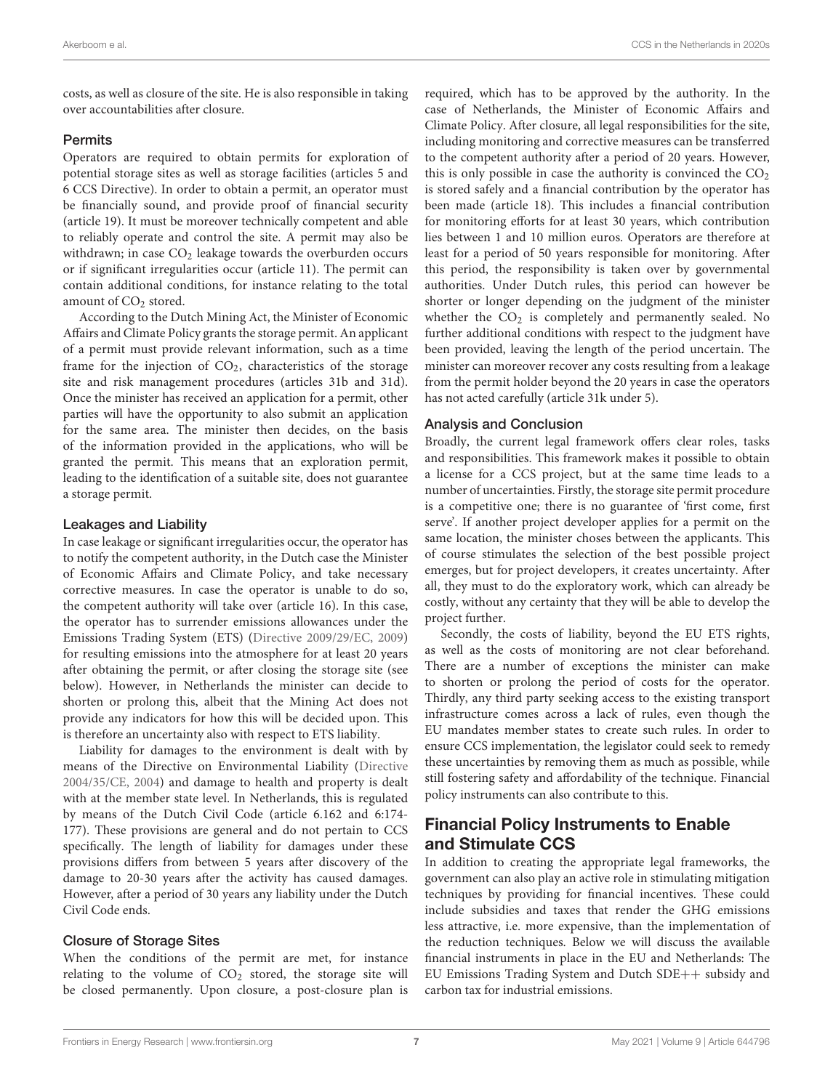costs, as well as closure of the site. He is also responsible in taking over accountabilities after closure.

#### **Permits**

Operators are required to obtain permits for exploration of potential storage sites as well as storage facilities (articles 5 and 6 CCS Directive). In order to obtain a permit, an operator must be financially sound, and provide proof of financial security (article 19). It must be moreover technically competent and able to reliably operate and control the site. A permit may also be withdrawn; in case  $CO<sub>2</sub>$  leakage towards the overburden occurs or if significant irregularities occur (article 11). The permit can contain additional conditions, for instance relating to the total amount of  $CO<sub>2</sub>$  stored.

According to the Dutch Mining Act, the Minister of Economic Affairs and Climate Policy grants the storage permit. An applicant of a permit must provide relevant information, such as a time frame for the injection of  $CO<sub>2</sub>$ , characteristics of the storage site and risk management procedures (articles 31b and 31d). Once the minister has received an application for a permit, other parties will have the opportunity to also submit an application for the same area. The minister then decides, on the basis of the information provided in the applications, who will be granted the permit. This means that an exploration permit, leading to the identification of a suitable site, does not guarantee a storage permit.

#### Leakages and Liability

In case leakage or significant irregularities occur, the operator has to notify the competent authority, in the Dutch case the Minister of Economic Affairs and Climate Policy, and take necessary corrective measures. In case the operator is unable to do so, the competent authority will take over (article 16). In this case, the operator has to surrender emissions allowances under the Emissions Trading System (ETS) [\(Directive 2009/29/EC,](#page-14-26) [2009\)](#page-14-26) for resulting emissions into the atmosphere for at least 20 years after obtaining the permit, or after closing the storage site (see below). However, in Netherlands the minister can decide to shorten or prolong this, albeit that the Mining Act does not provide any indicators for how this will be decided upon. This is therefore an uncertainty also with respect to ETS liability.

Liability for damages to the environment is dealt with by means of the Directive on Environmental Liability [\(Directive](#page-14-27) [2004/35/CE,](#page-14-27) [2004\)](#page-14-27) and damage to health and property is dealt with at the member state level. In Netherlands, this is regulated by means of the Dutch Civil Code (article 6.162 and 6:174- 177). These provisions are general and do not pertain to CCS specifically. The length of liability for damages under these provisions differs from between 5 years after discovery of the damage to 20-30 years after the activity has caused damages. However, after a period of 30 years any liability under the Dutch Civil Code ends.

#### Closure of Storage Sites

When the conditions of the permit are met, for instance relating to the volume of CO<sub>2</sub> stored, the storage site will be closed permanently. Upon closure, a post-closure plan is required, which has to be approved by the authority. In the case of Netherlands, the Minister of Economic Affairs and Climate Policy. After closure, all legal responsibilities for the site, including monitoring and corrective measures can be transferred to the competent authority after a period of 20 years. However, this is only possible in case the authority is convinced the  $CO<sub>2</sub>$ is stored safely and a financial contribution by the operator has been made (article 18). This includes a financial contribution for monitoring efforts for at least 30 years, which contribution lies between 1 and 10 million euros. Operators are therefore at least for a period of 50 years responsible for monitoring. After this period, the responsibility is taken over by governmental authorities. Under Dutch rules, this period can however be shorter or longer depending on the judgment of the minister whether the  $CO<sub>2</sub>$  is completely and permanently sealed. No further additional conditions with respect to the judgment have been provided, leaving the length of the period uncertain. The minister can moreover recover any costs resulting from a leakage from the permit holder beyond the 20 years in case the operators has not acted carefully (article 31k under 5).

### Analysis and Conclusion

Broadly, the current legal framework offers clear roles, tasks and responsibilities. This framework makes it possible to obtain a license for a CCS project, but at the same time leads to a number of uncertainties. Firstly, the storage site permit procedure is a competitive one; there is no guarantee of 'first come, first serve'. If another project developer applies for a permit on the same location, the minister choses between the applicants. This of course stimulates the selection of the best possible project emerges, but for project developers, it creates uncertainty. After all, they must to do the exploratory work, which can already be costly, without any certainty that they will be able to develop the project further.

Secondly, the costs of liability, beyond the EU ETS rights, as well as the costs of monitoring are not clear beforehand. There are a number of exceptions the minister can make to shorten or prolong the period of costs for the operator. Thirdly, any third party seeking access to the existing transport infrastructure comes across a lack of rules, even though the EU mandates member states to create such rules. In order to ensure CCS implementation, the legislator could seek to remedy these uncertainties by removing them as much as possible, while still fostering safety and affordability of the technique. Financial policy instruments can also contribute to this.

### Financial Policy Instruments to Enable and Stimulate CCS

In addition to creating the appropriate legal frameworks, the government can also play an active role in stimulating mitigation techniques by providing for financial incentives. These could include subsidies and taxes that render the GHG emissions less attractive, i.e. more expensive, than the implementation of the reduction techniques. Below we will discuss the available financial instruments in place in the EU and Netherlands: The EU Emissions Trading System and Dutch SDE++ subsidy and carbon tax for industrial emissions.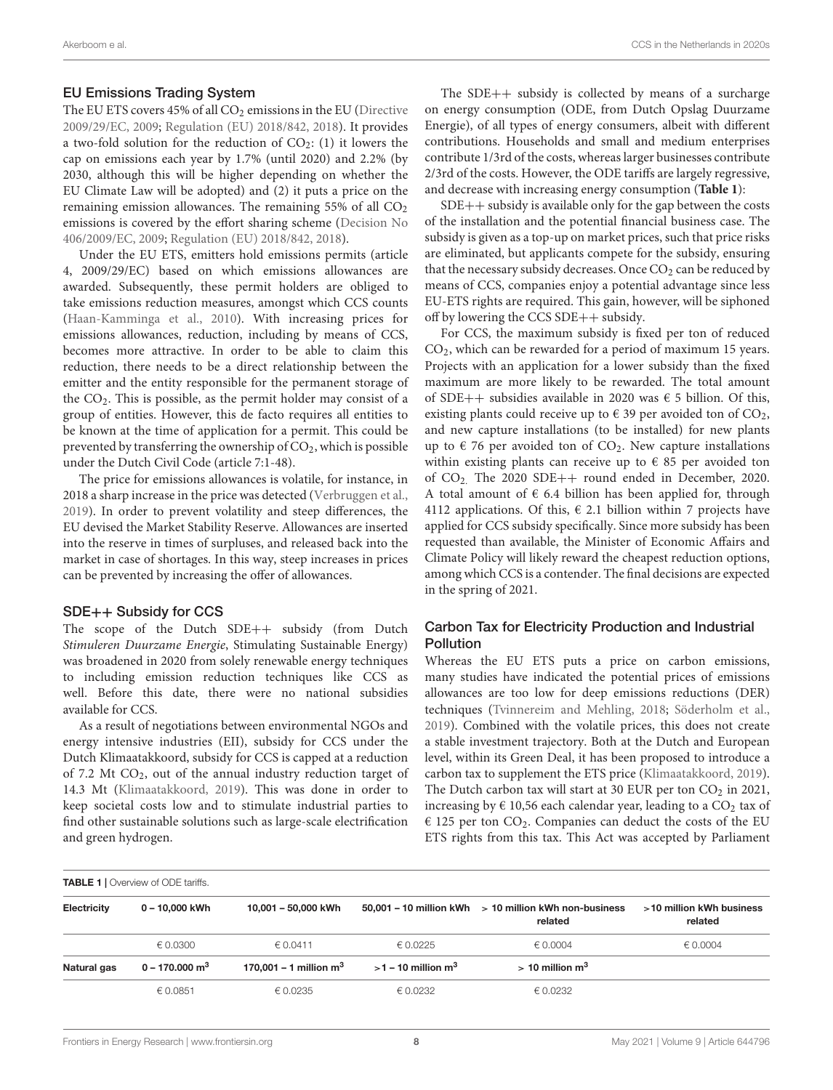#### EU Emissions Trading System

The EU ETS covers 45% of all  $CO<sub>2</sub>$  emissions in the EU [\(Directive](#page-14-26) [2009/29/EC,](#page-14-26) [2009;](#page-14-26) [Regulation \(EU\) 2018/842,](#page-15-24) [2018\)](#page-15-24). It provides a two-fold solution for the reduction of  $CO_2$ : (1) it lowers the cap on emissions each year by 1.7% (until 2020) and 2.2% (by 2030, although this will be higher depending on whether the EU Climate Law will be adopted) and (2) it puts a price on the remaining emission allowances. The remaining  $55\%$  of all  $CO<sub>2</sub>$ emissions is covered by the effort sharing scheme [\(Decision No](#page-14-28) [406/2009/EC,](#page-14-28) [2009;](#page-14-28) [Regulation \(EU\) 2018/842,](#page-15-24) [2018\)](#page-15-24).

Under the EU ETS, emitters hold emissions permits (article 4, 2009/29/EC) based on which emissions allowances are awarded. Subsequently, these permit holders are obliged to take emissions reduction measures, amongst which CCS counts [\(Haan-Kamminga et al.,](#page-14-29) [2010\)](#page-14-29). With increasing prices for emissions allowances, reduction, including by means of CCS, becomes more attractive. In order to be able to claim this reduction, there needs to be a direct relationship between the emitter and the entity responsible for the permanent storage of the  $CO<sub>2</sub>$ . This is possible, as the permit holder may consist of a group of entities. However, this de facto requires all entities to be known at the time of application for a permit. This could be prevented by transferring the ownership of  $CO<sub>2</sub>$ , which is possible under the Dutch Civil Code (article 7:1-48).

The price for emissions allowances is volatile, for instance, in 2018 a sharp increase in the price was detected [\(Verbruggen et al.,](#page-15-25) [2019\)](#page-15-25). In order to prevent volatility and steep differences, the EU devised the Market Stability Reserve. Allowances are inserted into the reserve in times of surpluses, and released back into the market in case of shortages. In this way, steep increases in prices can be prevented by increasing the offer of allowances.

#### SDE++ Subsidy for CCS

The scope of the Dutch SDE++ subsidy (from Dutch Stimuleren Duurzame Energie, Stimulating Sustainable Energy) was broadened in 2020 from solely renewable energy techniques to including emission reduction techniques like CCS as well. Before this date, there were no national subsidies available for CCS.

As a result of negotiations between environmental NGOs and energy intensive industries (EII), subsidy for CCS under the Dutch Klimaatakkoord, subsidy for CCS is capped at a reduction of 7.2 Mt  $CO<sub>2</sub>$ , out of the annual industry reduction target of 14.3 Mt [\(Klimaatakkoord,](#page-14-1) [2019\)](#page-14-1). This was done in order to keep societal costs low and to stimulate industrial parties to find other sustainable solutions such as large-scale electrification and green hydrogen.

The SDE++ subsidy is collected by means of a surcharge on energy consumption (ODE, from Dutch Opslag Duurzame Energie), of all types of energy consumers, albeit with different contributions. Households and small and medium enterprises contribute 1/3rd of the costs, whereas larger businesses contribute 2/3rd of the costs. However, the ODE tariffs are largely regressive, and decrease with increasing energy consumption (**[Table 1](#page-7-0)**):

SDE++ subsidy is available only for the gap between the costs of the installation and the potential financial business case. The subsidy is given as a top-up on market prices, such that price risks are eliminated, but applicants compete for the subsidy, ensuring that the necessary subsidy decreases. Once  $CO<sub>2</sub>$  can be reduced by means of CCS, companies enjoy a potential advantage since less EU-ETS rights are required. This gain, however, will be siphoned off by lowering the CCS SDE++ subsidy.

For CCS, the maximum subsidy is fixed per ton of reduced CO2, which can be rewarded for a period of maximum 15 years. Projects with an application for a lower subsidy than the fixed maximum are more likely to be rewarded. The total amount of SDE++ subsidies available in 2020 was  $\epsilon$  5 billion. Of this, existing plants could receive up to  $\epsilon$  39 per avoided ton of CO<sub>2</sub>, and new capture installations (to be installed) for new plants up to  $\epsilon$  76 per avoided ton of CO<sub>2</sub>. New capture installations within existing plants can receive up to  $\epsilon$  85 per avoided ton of CO2. The 2020 SDE++ round ended in December, 2020. A total amount of  $\epsilon$  6.4 billion has been applied for, through 4112 applications. Of this,  $\epsilon$  2.1 billion within 7 projects have applied for CCS subsidy specifically. Since more subsidy has been requested than available, the Minister of Economic Affairs and Climate Policy will likely reward the cheapest reduction options, among which CCS is a contender. The final decisions are expected in the spring of 2021.

### Carbon Tax for Electricity Production and Industrial Pollution

Whereas the EU ETS puts a price on carbon emissions, many studies have indicated the potential prices of emissions allowances are too low for deep emissions reductions (DER) techniques [\(Tvinnereim and Mehling,](#page-15-26) [2018;](#page-15-26) [Söderholm et al.,](#page-15-27) [2019\)](#page-15-27). Combined with the volatile prices, this does not create a stable investment trajectory. Both at the Dutch and European level, within its Green Deal, it has been proposed to introduce a carbon tax to supplement the ETS price [\(Klimaatakkoord,](#page-14-1) [2019\)](#page-14-1). The Dutch carbon tax will start at 30 EUR per ton  $CO<sub>2</sub>$  in 2021, increasing by  $\epsilon$  10,56 each calendar year, leading to a CO<sub>2</sub> tax of  $\epsilon$  125 per ton CO<sub>2</sub>. Companies can deduct the costs of the EU ETS rights from this tax. This Act was accepted by Parliament

<span id="page-7-0"></span>TABLE 1 | Overview of ODE tariffs. Electricity  $0 - 10,000$  kWh  $10,001 - 50,000$  kWh  $50,001 - 10$  million kWh  $> 10$  million kWh non-business related >10 million kWh business related  $\epsilon$  0.0300  $\epsilon$  0.0411  $\epsilon$  0.0225  $\epsilon$  0.0004  $\epsilon$  0.0004  $\epsilon$  0.0004 Natural gas  $0 - 170.000 \text{ m}^3$  170,001 – 1 million  $\text{m}^3$   $> 1 - 10$  million  $\text{m}^3$   $> 10$  million  $\text{m}^3$  $\epsilon$  0.0851  $\epsilon$  0.0235  $\epsilon$  0.0232  $\epsilon$  0.0232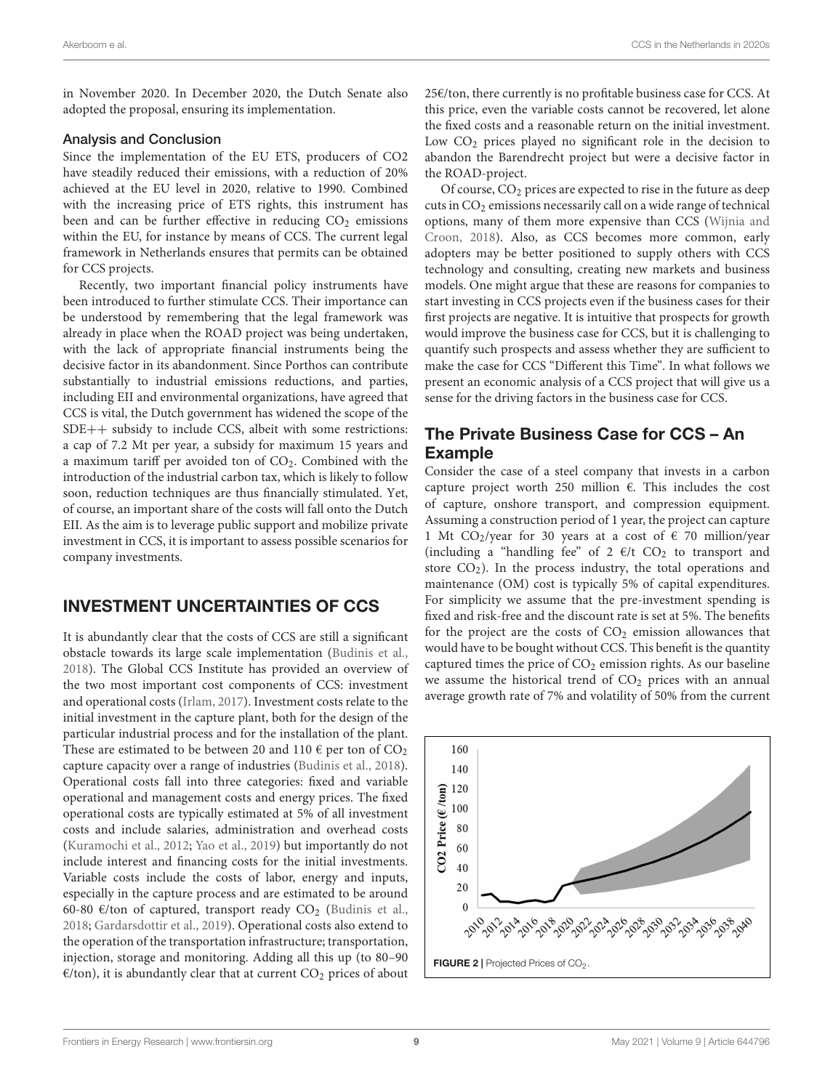in November 2020. In December 2020, the Dutch Senate also adopted the proposal, ensuring its implementation.

#### Analysis and Conclusion

Since the implementation of the EU ETS, producers of CO2 have steadily reduced their emissions, with a reduction of 20% achieved at the EU level in 2020, relative to 1990. Combined with the increasing price of ETS rights, this instrument has been and can be further effective in reducing  $CO<sub>2</sub>$  emissions within the EU, for instance by means of CCS. The current legal framework in Netherlands ensures that permits can be obtained for CCS projects.

Recently, two important financial policy instruments have been introduced to further stimulate CCS. Their importance can be understood by remembering that the legal framework was already in place when the ROAD project was being undertaken, with the lack of appropriate financial instruments being the decisive factor in its abandonment. Since Porthos can contribute substantially to industrial emissions reductions, and parties, including EII and environmental organizations, have agreed that CCS is vital, the Dutch government has widened the scope of the SDE++ subsidy to include CCS, albeit with some restrictions: a cap of 7.2 Mt per year, a subsidy for maximum 15 years and a maximum tariff per avoided ton of  $CO<sub>2</sub>$ . Combined with the introduction of the industrial carbon tax, which is likely to follow soon, reduction techniques are thus financially stimulated. Yet, of course, an important share of the costs will fall onto the Dutch EII. As the aim is to leverage public support and mobilize private investment in CCS, it is important to assess possible scenarios for company investments.

### INVESTMENT UNCERTAINTIES OF CCS

It is abundantly clear that the costs of CCS are still a significant obstacle towards its large scale implementation [\(Budinis et al.,](#page-13-2) [2018\)](#page-13-2). The Global CCS Institute has provided an overview of the two most important cost components of CCS: investment and operational costs [\(Irlam,](#page-14-30) [2017\)](#page-14-30). Investment costs relate to the initial investment in the capture plant, both for the design of the particular industrial process and for the installation of the plant. These are estimated to be between 20 and 110  $\epsilon$  per ton of CO<sub>2</sub> capture capacity over a range of industries [\(Budinis et al.,](#page-13-2) [2018\)](#page-13-2). Operational costs fall into three categories: fixed and variable operational and management costs and energy prices. The fixed operational costs are typically estimated at 5% of all investment costs and include salaries, administration and overhead costs [\(Kuramochi et al.,](#page-14-31) [2012;](#page-14-31) [Yao et al.,](#page-16-1) [2019\)](#page-16-1) but importantly do not include interest and financing costs for the initial investments. Variable costs include the costs of labor, energy and inputs, especially in the capture process and are estimated to be around 60-80 €/ton of captured, transport ready  $CO<sub>2</sub>$  [\(Budinis et al.,](#page-13-2) [2018;](#page-13-2) [Gardarsdottir et al.,](#page-14-32) [2019\)](#page-14-32). Operational costs also extend to the operation of the transportation infrastructure; transportation, injection, storage and monitoring. Adding all this up (to 80–90  $E/t$ on), it is abundantly clear that at current CO<sub>2</sub> prices of about

25€/ton, there currently is no profitable business case for CCS. At this price, even the variable costs cannot be recovered, let alone the fixed costs and a reasonable return on the initial investment. Low  $CO<sub>2</sub>$  prices played no significant role in the decision to abandon the Barendrecht project but were a decisive factor in the ROAD-project.

Of course, CO<sub>2</sub> prices are expected to rise in the future as deep cuts in  $CO<sub>2</sub>$  emissions necessarily call on a wide range of technical options, many of them more expensive than CCS [\(Wijnia and](#page-15-28) [Croon,](#page-15-28) [2018\)](#page-15-28). Also, as CCS becomes more common, early adopters may be better positioned to supply others with CCS technology and consulting, creating new markets and business models. One might argue that these are reasons for companies to start investing in CCS projects even if the business cases for their first projects are negative. It is intuitive that prospects for growth would improve the business case for CCS, but it is challenging to quantify such prospects and assess whether they are sufficient to make the case for CCS "Different this Time". In what follows we present an economic analysis of a CCS project that will give us a sense for the driving factors in the business case for CCS.

### The Private Business Case for CCS – An Example

Consider the case of a steel company that invests in a carbon capture project worth 250 million €. This includes the cost of capture, onshore transport, and compression equipment. Assuming a construction period of 1 year, the project can capture 1 Mt CO<sub>2</sub>/year for 30 years at a cost of  $\epsilon$  70 million/year (including a "handling fee" of 2  $\epsilon$ /t CO<sub>2</sub> to transport and store  $CO<sub>2</sub>$ ). In the process industry, the total operations and maintenance (OM) cost is typically 5% of capital expenditures. For simplicity we assume that the pre-investment spending is fixed and risk-free and the discount rate is set at 5%. The benefits for the project are the costs of  $CO<sub>2</sub>$  emission allowances that would have to be bought without CCS. This benefit is the quantity captured times the price of  $CO<sub>2</sub>$  emission rights. As our baseline we assume the historical trend of  $CO<sub>2</sub>$  prices with an annual average growth rate of 7% and volatility of 50% from the current

<span id="page-8-0"></span>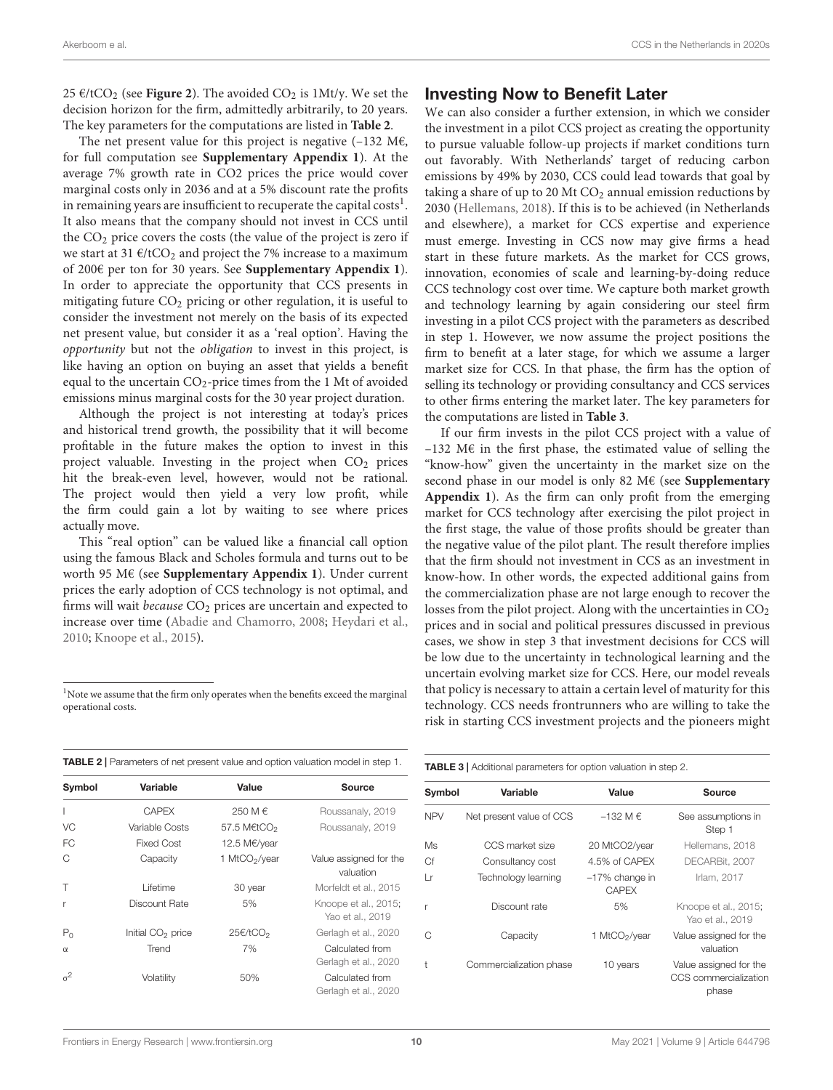25 €/tCO<sub>2</sub> (see **[Figure 2](#page-8-0)**). The avoided CO<sub>2</sub> is 1Mt/y. We set the decision horizon for the firm, admittedly arbitrarily, to 20 years. The key parameters for the computations are listed in **[Table 2](#page-9-0)**.

The net present value for this project is negative  $(-132 \text{ M}\epsilon,$ for full computation see **[Supplementary Appendix 1](#page-13-3)**). At the average 7% growth rate in CO2 prices the price would cover marginal costs only in 2036 and at a 5% discount rate the profits in remaining years are insufficient to recuperate the capital costs $^{\rm l}$ . It also means that the company should not invest in CCS until the  $CO<sub>2</sub>$  price covers the costs (the value of the project is zero if we start at 31  $\epsilon$ /tCO<sub>2</sub> and project the 7% increase to a maximum of 200€ per ton for 30 years. See **[Supplementary Appendix 1](#page-13-3)**). In order to appreciate the opportunity that CCS presents in mitigating future CO<sub>2</sub> pricing or other regulation, it is useful to consider the investment not merely on the basis of its expected net present value, but consider it as a 'real option'. Having the opportunity but not the obligation to invest in this project, is like having an option on buying an asset that yields a benefit equal to the uncertain  $CO_2$ -price times from the 1 Mt of avoided emissions minus marginal costs for the 30 year project duration.

Although the project is not interesting at today's prices and historical trend growth, the possibility that it will become profitable in the future makes the option to invest in this project valuable. Investing in the project when  $CO<sub>2</sub>$  prices hit the break-even level, however, would not be rational. The project would then yield a very low profit, while the firm could gain a lot by waiting to see where prices actually move.

This "real option" can be valued like a financial call option using the famous Black and Scholes formula and turns out to be worth 95 M€ (see **[Supplementary Appendix 1](#page-13-3)**). Under current prices the early adoption of CCS technology is not optimal, and firms will wait because  $CO<sub>2</sub>$  prices are uncertain and expected to increase over time [\(Abadie and Chamorro,](#page-13-4) [2008;](#page-13-4) [Heydari et al.,](#page-14-33) [2010;](#page-14-33) [Knoope et al.,](#page-14-34) [2015\)](#page-14-34).

|  |  | <b>Investing Now to Benefit Later</b> |  |
|--|--|---------------------------------------|--|
|--|--|---------------------------------------|--|

We can also consider a further extension, in which we consider the investment in a pilot CCS project as creating the opportunity to pursue valuable follow-up projects if market conditions turn out favorably. With Netherlands' target of reducing carbon emissions by 49% by 2030, CCS could lead towards that goal by taking a share of up to 20 Mt  $CO<sub>2</sub>$  annual emission reductions by 2030 [\(Hellemans,](#page-14-36) [2018\)](#page-14-36). If this is to be achieved (in Netherlands and elsewhere), a market for CCS expertise and experience must emerge. Investing in CCS now may give firms a head start in these future markets. As the market for CCS grows, innovation, economies of scale and learning-by-doing reduce CCS technology cost over time. We capture both market growth and technology learning by again considering our steel firm investing in a pilot CCS project with the parameters as described in step 1. However, we now assume the project positions the firm to benefit at a later stage, for which we assume a larger market size for CCS. In that phase, the firm has the option of selling its technology or providing consultancy and CCS services to other firms entering the market later. The key parameters for the computations are listed in **[Table 3](#page-9-2)**.

If our firm invests in the pilot CCS project with a value of –132 M€ in the first phase, the estimated value of selling the "know-how" given the uncertainty in the market size on the second phase in our model is only 82 M€ (see **[Supplementary](#page-13-3) [Appendix 1](#page-13-3)**). As the firm can only profit from the emerging market for CCS technology after exercising the pilot project in the first stage, the value of those profits should be greater than the negative value of the pilot plant. The result therefore implies that the firm should not investment in CCS as an investment in know-how. In other words, the expected additional gains from the commercialization phase are not large enough to recover the losses from the pilot project. Along with the uncertainties in  $CO<sub>2</sub>$ prices and in social and political pressures discussed in previous cases, we show in step 3 that investment decisions for CCS will be low due to the uncertainty in technological learning and the uncertain evolving market size for CCS. Here, our model reveals that policy is necessary to attain a certain level of maturity for this technology. CCS needs frontrunners who are willing to take the risk in starting CCS investment projects and the pioneers might

Symbol Variable Value Source I CAPEX 250 M € [Roussanaly,](#page-15-29) [2019](#page-15-29) VC Variable Costs 57.5 M€tCO<sub>2</sub> [Roussanaly,](#page-15-29) [2019](#page-15-29) FC Fixed Cost 12.5 M€/year C Capacity 1 MtCO<sub>2</sub>/year Value assigned for the valuation T Lifetime 30 year [Morfeldt et al.,](#page-15-30) [2015](#page-15-30) Discount Rate 5% [Knoope et al.,](#page-14-34) [2015;](#page-14-34) [Yao et al.,](#page-16-1) [2019](#page-16-1)  $P_0$  Initial CO<sub>2</sub> price  $25 \epsilon/tCO_2$  [Gerlagh et al.,](#page-14-35) [2020](#page-14-35) α Trend 7% Calculated from [Gerlagh et al.,](#page-14-35) [2020](#page-14-35)  $\sigma^2$ Volatility 50% Calculated from [Gerlagh et al.,](#page-14-35) [2020](#page-14-35)

<span id="page-9-0"></span>TABLE 2 | Parameters of net present value and option valuation model in step 1. TABLE 3 | Additional parameters for option valuation in step 2.

<span id="page-9-2"></span>

| <b>IADLE 3</b>   AGUILIOHAL DAFALTIBLEI'S TOL OPHOLI VAIUATIOH III SLEP Z. |                          |                                   |                                                          |  |
|----------------------------------------------------------------------------|--------------------------|-----------------------------------|----------------------------------------------------------|--|
| Symbol                                                                     | Variable                 | Value                             | Source                                                   |  |
| <b>NPV</b>                                                                 | Net present value of CCS | $-132$ M $\in$                    | See assumptions in<br>Step 1                             |  |
| Ms                                                                         | CCS market size          | 20 MtCO2/year                     | Hellemans, 2018                                          |  |
| Cf                                                                         | Consultancy cost         | 4.5% of CAPEX                     | DECARBit, 2007                                           |  |
| Lr                                                                         | Technology learning      | $-17\%$ change in<br><b>CAPEX</b> | Irlam, 2017                                              |  |
| r                                                                          | Discount rate            | 5%                                | Knoope et al., 2015;<br>Yao et al., 2019                 |  |
| C                                                                          | Capacity                 | 1 MtCO <sub>2</sub> /year         | Value assigned for the<br>valuation                      |  |
| $\ddagger$                                                                 | Commercialization phase  | 10 years                          | Value assigned for the<br>CCS commercialization<br>phase |  |

<span id="page-9-1"></span><sup>&</sup>lt;sup>1</sup>Note we assume that the firm only operates when the benefits exceed the marginal operational costs.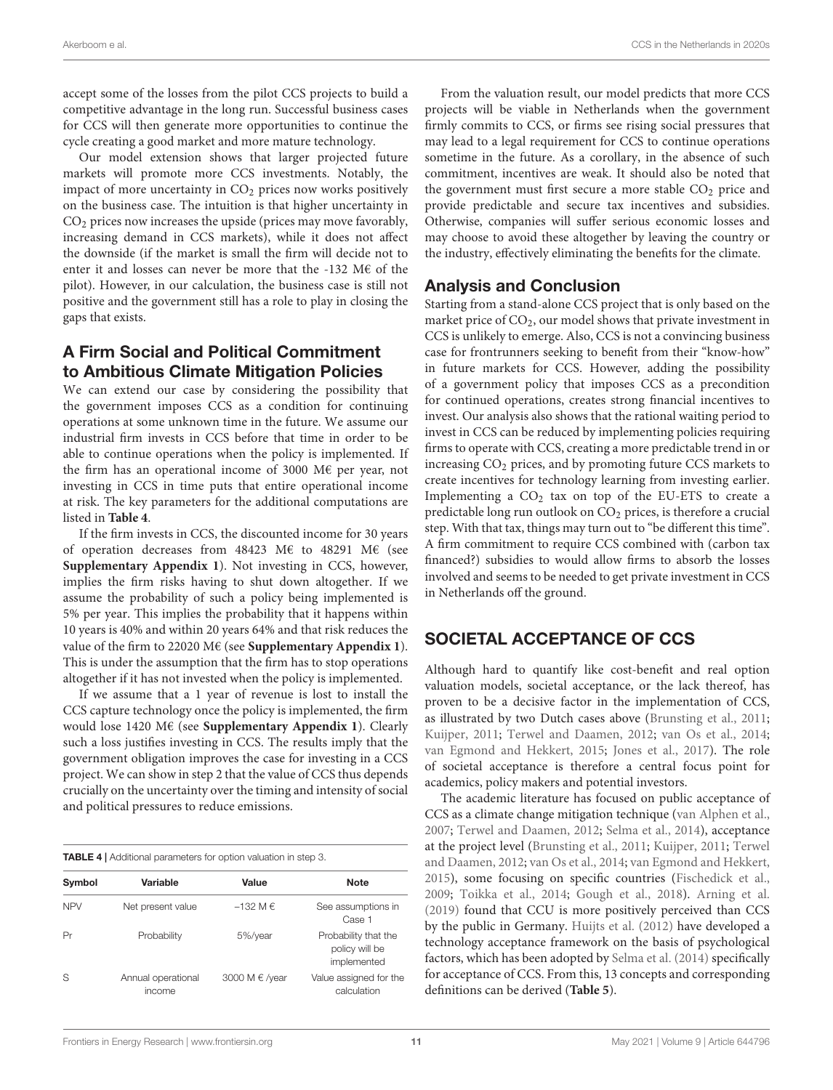accept some of the losses from the pilot CCS projects to build a competitive advantage in the long run. Successful business cases for CCS will then generate more opportunities to continue the cycle creating a good market and more mature technology.

Our model extension shows that larger projected future markets will promote more CCS investments. Notably, the impact of more uncertainty in CO<sub>2</sub> prices now works positively on the business case. The intuition is that higher uncertainty in CO<sup>2</sup> prices now increases the upside (prices may move favorably, increasing demand in CCS markets), while it does not affect the downside (if the market is small the firm will decide not to enter it and losses can never be more that the -132 M€ of the pilot). However, in our calculation, the business case is still not positive and the government still has a role to play in closing the gaps that exists.

### A Firm Social and Political Commitment to Ambitious Climate Mitigation Policies

We can extend our case by considering the possibility that the government imposes CCS as a condition for continuing operations at some unknown time in the future. We assume our industrial firm invests in CCS before that time in order to be able to continue operations when the policy is implemented. If the firm has an operational income of 3000 M€ per year, not investing in CCS in time puts that entire operational income at risk. The key parameters for the additional computations are listed in **[Table 4](#page-10-0)**.

If the firm invests in CCS, the discounted income for 30 years of operation decreases from 48423 M€ to 48291 M€ (see **[Supplementary Appendix 1](#page-13-3)**). Not investing in CCS, however, implies the firm risks having to shut down altogether. If we assume the probability of such a policy being implemented is 5% per year. This implies the probability that it happens within 10 years is 40% and within 20 years 64% and that risk reduces the value of the firm to 22020 M€ (see **[Supplementary Appendix 1](#page-13-3)**). This is under the assumption that the firm has to stop operations altogether if it has not invested when the policy is implemented.

If we assume that a 1 year of revenue is lost to install the CCS capture technology once the policy is implemented, the firm would lose 1420 M€ (see **[Supplementary Appendix 1](#page-13-3)**). Clearly such a loss justifies investing in CCS. The results imply that the government obligation improves the case for investing in a CCS project. We can show in step 2 that the value of CCS thus depends crucially on the uncertainty over the timing and intensity of social and political pressures to reduce emissions.

<span id="page-10-0"></span>TABLE 4 | Additional parameters for option valuation in step 3.

| Symbol     | Variable                     | Value          | Note                                                  |
|------------|------------------------------|----------------|-------------------------------------------------------|
| <b>NPV</b> | Net present value            | $-132$ M $\in$ | See assumptions in<br>Case 1                          |
| Pr         | Probability                  | 5%/year        | Probability that the<br>policy will be<br>implemented |
| S          | Annual operational<br>income | 3000 M € /year | Value assigned for the<br>calculation                 |

From the valuation result, our model predicts that more CCS projects will be viable in Netherlands when the government firmly commits to CCS, or firms see rising social pressures that may lead to a legal requirement for CCS to continue operations sometime in the future. As a corollary, in the absence of such commitment, incentives are weak. It should also be noted that the government must first secure a more stable  $CO<sub>2</sub>$  price and provide predictable and secure tax incentives and subsidies. Otherwise, companies will suffer serious economic losses and may choose to avoid these altogether by leaving the country or the industry, effectively eliminating the benefits for the climate.

### Analysis and Conclusion

Starting from a stand-alone CCS project that is only based on the market price of CO2, our model shows that private investment in CCS is unlikely to emerge. Also, CCS is not a convincing business case for frontrunners seeking to benefit from their "know-how" in future markets for CCS. However, adding the possibility of a government policy that imposes CCS as a precondition for continued operations, creates strong financial incentives to invest. Our analysis also shows that the rational waiting period to invest in CCS can be reduced by implementing policies requiring firms to operate with CCS, creating a more predictable trend in or increasing  $CO<sub>2</sub>$  prices, and by promoting future CCS markets to create incentives for technology learning from investing earlier. Implementing a  $CO<sub>2</sub>$  tax on top of the EU-ETS to create a predictable long run outlook on  $CO<sub>2</sub>$  prices, is therefore a crucial step. With that tax, things may turn out to "be different this time". A firm commitment to require CCS combined with (carbon tax financed?) subsidies to would allow firms to absorb the losses involved and seems to be needed to get private investment in CCS in Netherlands off the ground.

### SOCIETAL ACCEPTANCE OF CCS

Although hard to quantify like cost-benefit and real option valuation models, societal acceptance, or the lack thereof, has proven to be a decisive factor in the implementation of CCS, as illustrated by two Dutch cases above [\(Brunsting et al.,](#page-13-0) [2011;](#page-13-0) [Kuijper,](#page-14-3) [2011;](#page-14-3) [Terwel and Daamen,](#page-15-2) [2012;](#page-15-2) [van Os et al.,](#page-15-3) [2014;](#page-15-3) [van Egmond and Hekkert,](#page-15-4) [2015;](#page-15-4) [Jones et al.,](#page-14-38) [2017\)](#page-14-38). The role of societal acceptance is therefore a central focus point for academics, policy makers and potential investors.

The academic literature has focused on public acceptance of CCS as a climate change mitigation technique [\(van Alphen et al.,](#page-15-31) [2007;](#page-15-31) [Terwel and Daamen,](#page-15-2) [2012;](#page-15-2) [Selma et al.,](#page-15-32) [2014\)](#page-15-32), acceptance at the project level [\(Brunsting et al.,](#page-13-0) [2011;](#page-13-0) [Kuijper,](#page-14-3) [2011;](#page-14-3) [Terwel](#page-15-2) [and Daamen,](#page-15-2) [2012;](#page-15-2) [van Os et al.,](#page-15-3) [2014;](#page-15-3) [van Egmond and Hekkert,](#page-15-4) [2015\)](#page-15-4), some focusing on specific countries [\(Fischedick et al.,](#page-14-39) [2009;](#page-14-39) [Toikka et al.,](#page-15-33) [2014;](#page-15-33) [Gough et al.,](#page-14-40) [2018\)](#page-14-40). [Arning et al.](#page-13-5) [\(2019\)](#page-13-5) found that CCU is more positively perceived than CCS by the public in Germany. [Huijts et al.](#page-14-41) [\(2012\)](#page-14-41) have developed a technology acceptance framework on the basis of psychological factors, which has been adopted by [Selma et al.](#page-15-32) [\(2014\)](#page-15-32) specifically for acceptance of CCS. From this, 13 concepts and corresponding definitions can be derived (**[Table 5](#page-11-0)**).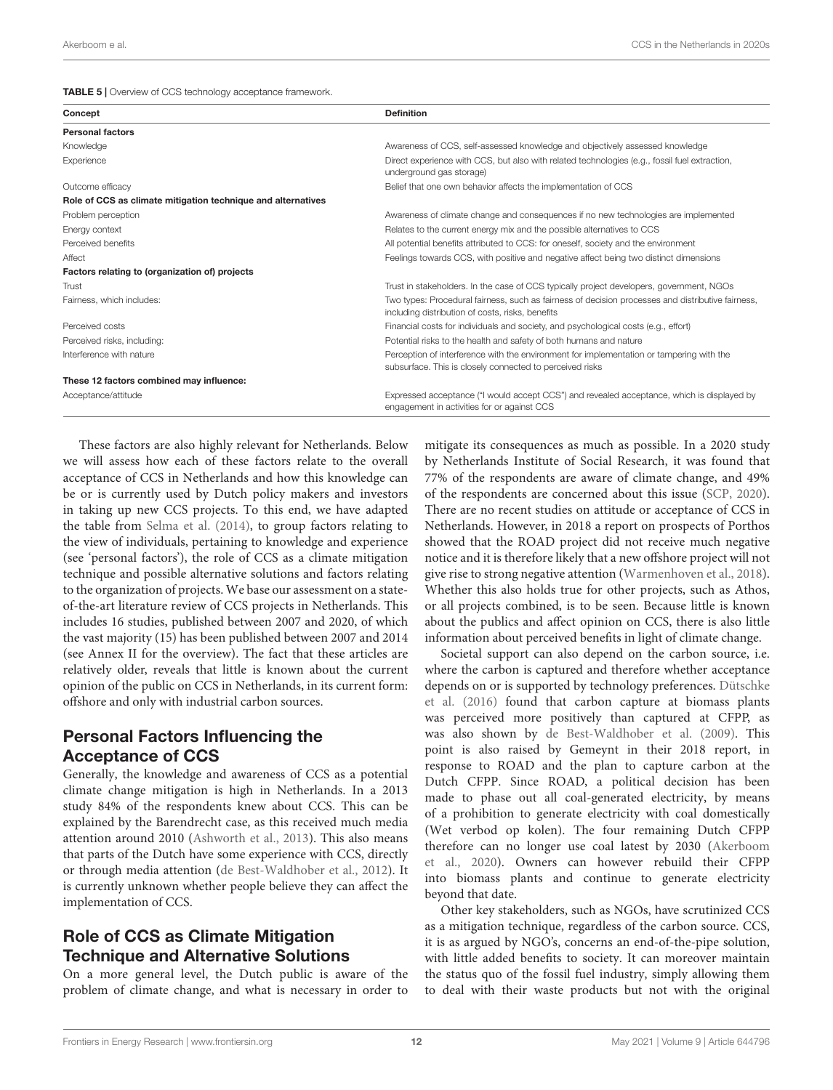<span id="page-11-0"></span>TABLE 5 | Overview of CCS technology acceptance framework.

| Concept                                                      | <b>Definition</b>                                                                                                                                     |  |
|--------------------------------------------------------------|-------------------------------------------------------------------------------------------------------------------------------------------------------|--|
| <b>Personal factors</b>                                      |                                                                                                                                                       |  |
| Knowledge                                                    | Awareness of CCS, self-assessed knowledge and objectively assessed knowledge                                                                          |  |
| Experience                                                   | Direct experience with CCS, but also with related technologies (e.g., fossil fuel extraction,<br>underground gas storage)                             |  |
| Outcome efficacy                                             | Belief that one own behavior affects the implementation of CCS                                                                                        |  |
| Role of CCS as climate mitigation technique and alternatives |                                                                                                                                                       |  |
| Problem perception                                           | Awareness of climate change and consequences if no new technologies are implemented                                                                   |  |
| Energy context                                               | Relates to the current energy mix and the possible alternatives to CCS                                                                                |  |
| Perceived benefits                                           | All potential benefits attributed to CCS: for oneself, society and the environment                                                                    |  |
| Affect                                                       | Feelings towards CCS, with positive and negative affect being two distinct dimensions                                                                 |  |
| Factors relating to (organization of) projects               |                                                                                                                                                       |  |
| Trust                                                        | Trust in stakeholders. In the case of CCS typically project developers, government, NGOs                                                              |  |
| Fairness, which includes:                                    | Two types: Procedural fairness, such as fairness of decision processes and distributive fairness,<br>including distribution of costs, risks, benefits |  |
| Perceived costs                                              | Financial costs for individuals and society, and psychological costs (e.g., effort)                                                                   |  |
| Perceived risks, including:                                  | Potential risks to the health and safety of both humans and nature                                                                                    |  |
| Interference with nature                                     | Perception of interference with the environment for implementation or tampering with the<br>subsurface. This is closely connected to perceived risks  |  |
| These 12 factors combined may influence:                     |                                                                                                                                                       |  |
| Acceptance/attitude                                          | Expressed acceptance ("I would accept CCS") and revealed acceptance, which is displayed by<br>engagement in activities for or against CCS             |  |

These factors are also highly relevant for Netherlands. Below we will assess how each of these factors relate to the overall acceptance of CCS in Netherlands and how this knowledge can be or is currently used by Dutch policy makers and investors in taking up new CCS projects. To this end, we have adapted the table from [Selma et al.](#page-15-32) [\(2014\)](#page-15-32), to group factors relating to the view of individuals, pertaining to knowledge and experience (see 'personal factors'), the role of CCS as a climate mitigation technique and possible alternative solutions and factors relating to the organization of projects. We base our assessment on a stateof-the-art literature review of CCS projects in Netherlands. This includes 16 studies, published between 2007 and 2020, of which the vast majority (15) has been published between 2007 and 2014 (see Annex II for the overview). The fact that these articles are relatively older, reveals that little is known about the current opinion of the public on CCS in Netherlands, in its current form: offshore and only with industrial carbon sources.

### Personal Factors Influencing the Acceptance of CCS

Generally, the knowledge and awareness of CCS as a potential climate change mitigation is high in Netherlands. In a 2013 study 84% of the respondents knew about CCS. This can be explained by the Barendrecht case, as this received much media attention around 2010 [\(Ashworth et al.,](#page-13-6) [2013\)](#page-13-6). This also means that parts of the Dutch have some experience with CCS, directly or through media attention [\(de Best-Waldhober et al.,](#page-14-42) [2012\)](#page-14-42). It is currently unknown whether people believe they can affect the implementation of CCS.

### Role of CCS as Climate Mitigation Technique and Alternative Solutions

On a more general level, the Dutch public is aware of the problem of climate change, and what is necessary in order to

mitigate its consequences as much as possible. In a 2020 study by Netherlands Institute of Social Research, it was found that 77% of the respondents are aware of climate change, and 49% of the respondents are concerned about this issue [\(SCP,](#page-15-34) [2020\)](#page-15-34). There are no recent studies on attitude or acceptance of CCS in Netherlands. However, in 2018 a report on prospects of Porthos showed that the ROAD project did not receive much negative notice and it is therefore likely that a new offshore project will not give rise to strong negative attention [\(Warmenhoven et al.,](#page-15-8) [2018\)](#page-15-8). Whether this also holds true for other projects, such as Athos, or all projects combined, is to be seen. Because little is known about the publics and affect opinion on CCS, there is also little information about perceived benefits in light of climate change.

Societal support can also depend on the carbon source, i.e. where the carbon is captured and therefore whether acceptance depends on or is supported by technology preferences. [Dütschke](#page-14-43) [et al.](#page-14-43) [\(2016\)](#page-14-43) found that carbon capture at biomass plants was perceived more positively than captured at CFPP, as was also shown by [de Best-Waldhober et al.](#page-14-44) [\(2009\)](#page-14-44). This point is also raised by Gemeynt in their 2018 report, in response to ROAD and the plan to capture carbon at the Dutch CFPP. Since ROAD, a political decision has been made to phase out all coal-generated electricity, by means of a prohibition to generate electricity with coal domestically (Wet verbod op kolen). The four remaining Dutch CFPP therefore can no longer use coal latest by 2030 [\(Akerboom](#page-13-7) [et al.,](#page-13-7) [2020\)](#page-13-7). Owners can however rebuild their CFPP into biomass plants and continue to generate electricity beyond that date.

Other key stakeholders, such as NGOs, have scrutinized CCS as a mitigation technique, regardless of the carbon source. CCS, it is as argued by NGO's, concerns an end-of-the-pipe solution, with little added benefits to society. It can moreover maintain the status quo of the fossil fuel industry, simply allowing them to deal with their waste products but not with the original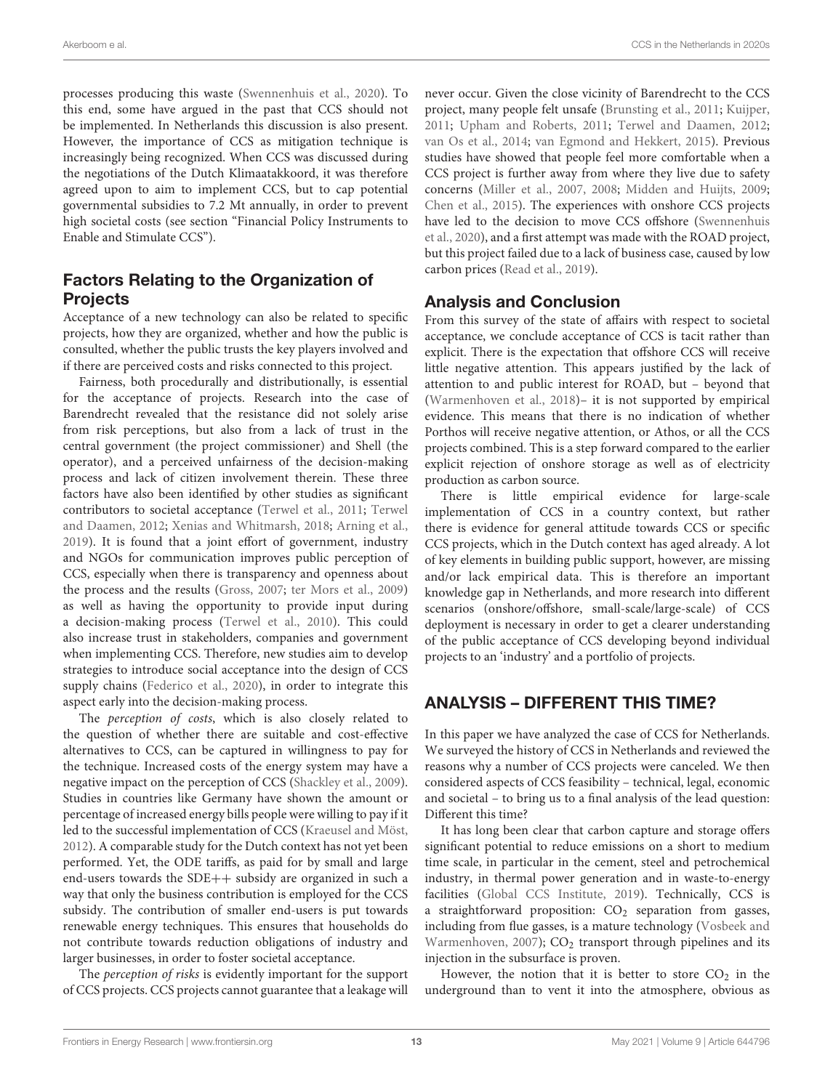processes producing this waste [\(Swennenhuis et al.,](#page-15-35) [2020\)](#page-15-35). To this end, some have argued in the past that CCS should not be implemented. In Netherlands this discussion is also present. However, the importance of CCS as mitigation technique is increasingly being recognized. When CCS was discussed during the negotiations of the Dutch Klimaatakkoord, it was therefore agreed upon to aim to implement CCS, but to cap potential governmental subsidies to 7.2 Mt annually, in order to prevent high societal costs (see section "Financial Policy Instruments to Enable and Stimulate CCS").

### Factors Relating to the Organization of **Projects**

Acceptance of a new technology can also be related to specific projects, how they are organized, whether and how the public is consulted, whether the public trusts the key players involved and if there are perceived costs and risks connected to this project.

Fairness, both procedurally and distributionally, is essential for the acceptance of projects. Research into the case of Barendrecht revealed that the resistance did not solely arise from risk perceptions, but also from a lack of trust in the central government (the project commissioner) and Shell (the operator), and a perceived unfairness of the decision-making process and lack of citizen involvement therein. These three factors have also been identified by other studies as significant contributors to societal acceptance [\(Terwel et al.,](#page-15-36) [2011;](#page-15-36) [Terwel](#page-15-2) [and Daamen,](#page-15-2) [2012;](#page-15-2) [Xenias and Whitmarsh,](#page-16-2) [2018;](#page-16-2) [Arning et al.,](#page-13-5) [2019\)](#page-13-5). It is found that a joint effort of government, industry and NGOs for communication improves public perception of CCS, especially when there is transparency and openness about the process and the results [\(Gross,](#page-14-45) [2007;](#page-14-45) [ter Mors et al.,](#page-15-37) [2009\)](#page-15-37) as well as having the opportunity to provide input during a decision-making process [\(Terwel et al.,](#page-15-38) [2010\)](#page-15-38). This could also increase trust in stakeholders, companies and government when implementing CCS. Therefore, new studies aim to develop strategies to introduce social acceptance into the design of CCS supply chains [\(Federico et al.,](#page-14-46) [2020\)](#page-14-46), in order to integrate this aspect early into the decision-making process.

The perception of costs, which is also closely related to the question of whether there are suitable and cost-effective alternatives to CCS, can be captured in willingness to pay for the technique. Increased costs of the energy system may have a negative impact on the perception of CCS [\(Shackley et al.,](#page-15-39) [2009\)](#page-15-39). Studies in countries like Germany have shown the amount or percentage of increased energy bills people were willing to pay if it led to the successful implementation of CCS [\(Kraeusel and Möst,](#page-14-47) [2012\)](#page-14-47). A comparable study for the Dutch context has not yet been performed. Yet, the ODE tariffs, as paid for by small and large end-users towards the SDE++ subsidy are organized in such a way that only the business contribution is employed for the CCS subsidy. The contribution of smaller end-users is put towards renewable energy techniques. This ensures that households do not contribute towards reduction obligations of industry and larger businesses, in order to foster societal acceptance.

The perception of risks is evidently important for the support of CCS projects. CCS projects cannot guarantee that a leakage will

never occur. Given the close vicinity of Barendrecht to the CCS project, many people felt unsafe [\(Brunsting et al.,](#page-13-0) [2011;](#page-13-0) [Kuijper,](#page-14-3) [2011;](#page-14-3) [Upham and Roberts,](#page-15-40) [2011;](#page-15-40) [Terwel and Daamen,](#page-15-2) [2012;](#page-15-2) [van Os et al.,](#page-15-3) [2014;](#page-15-3) [van Egmond and Hekkert,](#page-15-4) [2015\)](#page-15-4). Previous studies have showed that people feel more comfortable when a CCS project is further away from where they live due to safety concerns [\(Miller et al.,](#page-15-41) [2007,](#page-15-41) [2008;](#page-15-42) [Midden and Huijts,](#page-15-43) [2009;](#page-15-43) [Chen et al.,](#page-14-48) [2015\)](#page-14-48). The experiences with onshore CCS projects have led to the decision to move CCS offshore [\(Swennenhuis](#page-15-35) [et al.,](#page-15-35) [2020\)](#page-15-35), and a first attempt was made with the ROAD project, but this project failed due to a lack of business case, caused by low carbon prices [\(Read et al.,](#page-15-5) [2019\)](#page-15-5).

### Analysis and Conclusion

From this survey of the state of affairs with respect to societal acceptance, we conclude acceptance of CCS is tacit rather than explicit. There is the expectation that offshore CCS will receive little negative attention. This appears justified by the lack of attention to and public interest for ROAD, but – beyond that [\(Warmenhoven et al.,](#page-15-8) [2018\)](#page-15-8)– it is not supported by empirical evidence. This means that there is no indication of whether Porthos will receive negative attention, or Athos, or all the CCS projects combined. This is a step forward compared to the earlier explicit rejection of onshore storage as well as of electricity production as carbon source.

There is little empirical evidence for large-scale implementation of CCS in a country context, but rather there is evidence for general attitude towards CCS or specific CCS projects, which in the Dutch context has aged already. A lot of key elements in building public support, however, are missing and/or lack empirical data. This is therefore an important knowledge gap in Netherlands, and more research into different scenarios (onshore/offshore, small-scale/large-scale) of CCS deployment is necessary in order to get a clearer understanding of the public acceptance of CCS developing beyond individual projects to an 'industry' and a portfolio of projects.

# ANALYSIS – DIFFERENT THIS TIME?

In this paper we have analyzed the case of CCS for Netherlands. We surveyed the history of CCS in Netherlands and reviewed the reasons why a number of CCS projects were canceled. We then considered aspects of CCS feasibility – technical, legal, economic and societal – to bring us to a final analysis of the lead question: Different this time?

It has long been clear that carbon capture and storage offers significant potential to reduce emissions on a short to medium time scale, in particular in the cement, steel and petrochemical industry, in thermal power generation and in waste-to-energy facilities [\(Global CCS Institute,](#page-14-8) [2019\)](#page-14-8). Technically, CCS is a straightforward proposition:  $CO<sub>2</sub>$  separation from gasses, including from flue gasses, is a mature technology [\(Vosbeek and](#page-15-44) [Warmenhoven,](#page-15-44) [2007\)](#page-15-44);  $CO<sub>2</sub>$  transport through pipelines and its injection in the subsurface is proven.

However, the notion that it is better to store  $CO<sub>2</sub>$  in the underground than to vent it into the atmosphere, obvious as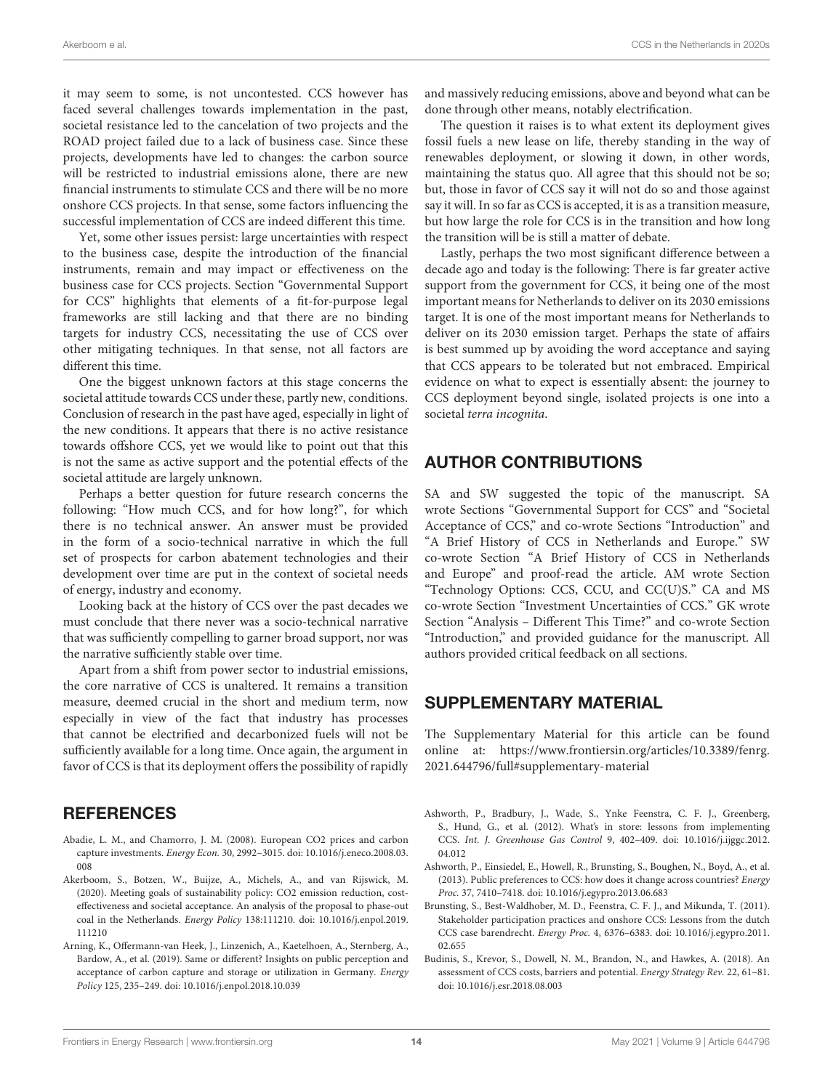it may seem to some, is not uncontested. CCS however has faced several challenges towards implementation in the past, societal resistance led to the cancelation of two projects and the ROAD project failed due to a lack of business case. Since these projects, developments have led to changes: the carbon source will be restricted to industrial emissions alone, there are new financial instruments to stimulate CCS and there will be no more onshore CCS projects. In that sense, some factors influencing the successful implementation of CCS are indeed different this time.

Yet, some other issues persist: large uncertainties with respect to the business case, despite the introduction of the financial instruments, remain and may impact or effectiveness on the business case for CCS projects. Section "Governmental Support for CCS" highlights that elements of a fit-for-purpose legal frameworks are still lacking and that there are no binding targets for industry CCS, necessitating the use of CCS over other mitigating techniques. In that sense, not all factors are different this time.

One the biggest unknown factors at this stage concerns the societal attitude towards CCS under these, partly new, conditions. Conclusion of research in the past have aged, especially in light of the new conditions. It appears that there is no active resistance towards offshore CCS, yet we would like to point out that this is not the same as active support and the potential effects of the societal attitude are largely unknown.

Perhaps a better question for future research concerns the following: "How much CCS, and for how long?", for which there is no technical answer. An answer must be provided in the form of a socio-technical narrative in which the full set of prospects for carbon abatement technologies and their development over time are put in the context of societal needs of energy, industry and economy.

Looking back at the history of CCS over the past decades we must conclude that there never was a socio-technical narrative that was sufficiently compelling to garner broad support, nor was the narrative sufficiently stable over time.

Apart from a shift from power sector to industrial emissions, the core narrative of CCS is unaltered. It remains a transition measure, deemed crucial in the short and medium term, now especially in view of the fact that industry has processes that cannot be electrified and decarbonized fuels will not be sufficiently available for a long time. Once again, the argument in favor of CCS is that its deployment offers the possibility of rapidly

### **REFERENCES**

- <span id="page-13-4"></span>Abadie, L. M., and Chamorro, J. M. (2008). European CO2 prices and carbon capture investments. Energy Econ. 30, 2992–3015. [doi: 10.1016/j.eneco.2008.03.](https://doi.org/10.1016/j.eneco.2008.03.008) [008](https://doi.org/10.1016/j.eneco.2008.03.008)
- <span id="page-13-7"></span>Akerboom, S., Botzen, W., Buijze, A., Michels, A., and van Rijswick, M. (2020). Meeting goals of sustainability policy: CO2 emission reduction, costeffectiveness and societal acceptance. An analysis of the proposal to phase-out coal in the Netherlands. Energy Policy 138:111210. [doi: 10.1016/j.enpol.2019.](https://doi.org/10.1016/j.enpol.2019.111210) [111210](https://doi.org/10.1016/j.enpol.2019.111210)
- <span id="page-13-5"></span>Arning, K., Offermann-van Heek, J., Linzenich, A., Kaetelhoen, A., Sternberg, A., Bardow, A., et al. (2019). Same or different? Insights on public perception and acceptance of carbon capture and storage or utilization in Germany. Energy Policy 125, 235–249. [doi: 10.1016/j.enpol.2018.10.039](https://doi.org/10.1016/j.enpol.2018.10.039)

and massively reducing emissions, above and beyond what can be done through other means, notably electrification.

The question it raises is to what extent its deployment gives fossil fuels a new lease on life, thereby standing in the way of renewables deployment, or slowing it down, in other words, maintaining the status quo. All agree that this should not be so; but, those in favor of CCS say it will not do so and those against say it will. In so far as CCS is accepted, it is as a transition measure, but how large the role for CCS is in the transition and how long the transition will be is still a matter of debate.

Lastly, perhaps the two most significant difference between a decade ago and today is the following: There is far greater active support from the government for CCS, it being one of the most important means for Netherlands to deliver on its 2030 emissions target. It is one of the most important means for Netherlands to deliver on its 2030 emission target. Perhaps the state of affairs is best summed up by avoiding the word acceptance and saying that CCS appears to be tolerated but not embraced. Empirical evidence on what to expect is essentially absent: the journey to CCS deployment beyond single, isolated projects is one into a societal terra incognita.

### AUTHOR CONTRIBUTIONS

SA and SW suggested the topic of the manuscript. SA wrote Sections "Governmental Support for CCS" and "Societal Acceptance of CCS," and co-wrote Sections "Introduction" and "A Brief History of CCS in Netherlands and Europe." SW co-wrote Section "A Brief History of CCS in Netherlands and Europe" and proof-read the article. AM wrote Section "Technology Options: CCS, CCU, and CC(U)S." CA and MS co-wrote Section "Investment Uncertainties of CCS." GK wrote Section "Analysis – Different This Time?" and co-wrote Section "Introduction," and provided guidance for the manuscript. All authors provided critical feedback on all sections.

### <span id="page-13-3"></span>SUPPLEMENTARY MATERIAL

The Supplementary Material for this article can be found online at: [https://www.frontiersin.org/articles/10.3389/fenrg.](https://www.frontiersin.org/articles/10.3389/fenrg.2021.644796/full#supplementary-material) [2021.644796/full#supplementary-material](https://www.frontiersin.org/articles/10.3389/fenrg.2021.644796/full#supplementary-material)

- <span id="page-13-1"></span>Ashworth, P., Bradbury, J., Wade, S., Ynke Feenstra, C. F. J., Greenberg, S., Hund, G., et al. (2012). What's in store: lessons from implementing CCS. Int. J. Greenhouse Gas Control 9, 402–409. [doi: 10.1016/j.ijggc.2012.](https://doi.org/10.1016/j.ijggc.2012.04.012) [04.012](https://doi.org/10.1016/j.ijggc.2012.04.012)
- <span id="page-13-6"></span>Ashworth, P., Einsiedel, E., Howell, R., Brunsting, S., Boughen, N., Boyd, A., et al. (2013). Public preferences to CCS: how does it change across countries? Energy Proc. 37, 7410–7418. [doi: 10.1016/j.egypro.2013.06.683](https://doi.org/10.1016/j.egypro.2013.06.683)
- <span id="page-13-0"></span>Brunsting, S., Best-Waldhober, M. D., Feenstra, C. F. J., and Mikunda, T. (2011). Stakeholder participation practices and onshore CCS: Lessons from the dutch CCS case barendrecht. Energy Proc. 4, 6376–6383. [doi: 10.1016/j.egypro.2011.](https://doi.org/10.1016/j.egypro.2011.02.655) [02.655](https://doi.org/10.1016/j.egypro.2011.02.655)
- <span id="page-13-2"></span>Budinis, S., Krevor, S., Dowell, N. M., Brandon, N., and Hawkes, A. (2018). An assessment of CCS costs, barriers and potential. Energy Strategy Rev. 22, 61–81. [doi: 10.1016/j.esr.2018.08.003](https://doi.org/10.1016/j.esr.2018.08.003)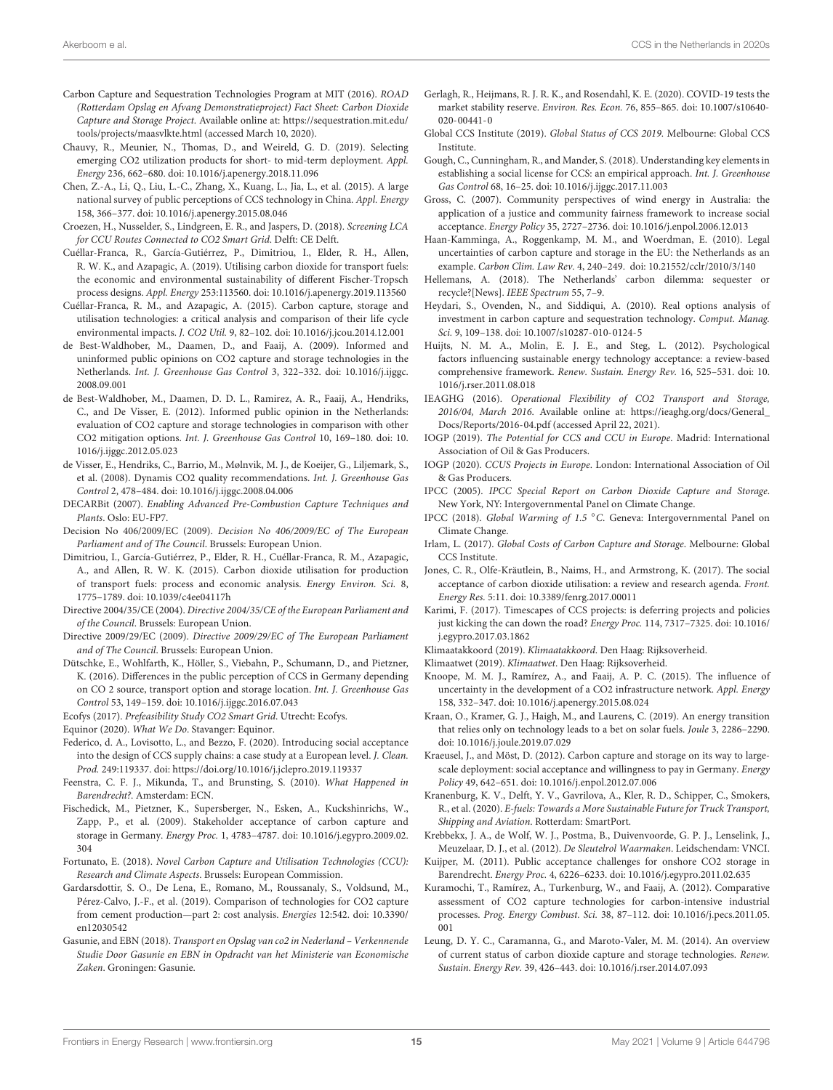- <span id="page-14-6"></span>Carbon Capture and Sequestration Technologies Program at MIT (2016). ROAD (Rotterdam Opslag en Afvang Demonstratieproject) Fact Sheet: Carbon Dioxide Capture and Storage Project. Available online at: [https://sequestration.mit.edu/](https://sequestration.mit.edu/tools/projects/maasvlkte.html) [tools/projects/maasvlkte.html](https://sequestration.mit.edu/tools/projects/maasvlkte.html) (accessed March 10, 2020).
- <span id="page-14-16"></span>Chauvy, R., Meunier, N., Thomas, D., and Weireld, G. D. (2019). Selecting emerging CO2 utilization products for short- to mid-term deployment. Appl. Energy 236, 662–680. [doi: 10.1016/j.apenergy.2018.11.096](https://doi.org/10.1016/j.apenergy.2018.11.096)
- <span id="page-14-48"></span>Chen, Z.-A., Li, Q., Liu, L.-C., Zhang, X., Kuang, L., Jia, L., et al. (2015). A large national survey of public perceptions of CCS technology in China. Appl. Energy 158, 366–377. [doi: 10.1016/j.apenergy.2015.08.046](https://doi.org/10.1016/j.apenergy.2015.08.046)
- <span id="page-14-22"></span>Croezen, H., Nusselder, S., Lindgreen, E. R., and Jaspers, D. (2018). Screening LCA for CCU Routes Connected to CO2 Smart Grid. Delft: CE Delft.
- <span id="page-14-19"></span>Cuéllar-Franca, R., García-Gutiérrez, P., Dimitriou, I., Elder, R. H., Allen, R. W. K., and Azapagic, A. (2019). Utilising carbon dioxide for transport fuels: the economic and environmental sustainability of different Fischer-Tropsch process designs. Appl. Energy 253:113560. [doi: 10.1016/j.apenergy.2019.113560](https://doi.org/10.1016/j.apenergy.2019.113560)
- <span id="page-14-15"></span>Cuéllar-Franca, R. M., and Azapagic, A. (2015). Carbon capture, storage and utilisation technologies: a critical analysis and comparison of their life cycle environmental impacts. J. CO2 Util. 9, 82–102. [doi: 10.1016/j.jcou.2014.12.001](https://doi.org/10.1016/j.jcou.2014.12.001)
- <span id="page-14-44"></span>de Best-Waldhober, M., Daamen, D., and Faaij, A. (2009). Informed and uninformed public opinions on CO2 capture and storage technologies in the Netherlands. Int. J. Greenhouse Gas Control 3, 322–332. [doi: 10.1016/j.ijggc.](https://doi.org/10.1016/j.ijggc.2008.09.001) [2008.09.001](https://doi.org/10.1016/j.ijggc.2008.09.001)
- <span id="page-14-42"></span>de Best-Waldhober, M., Daamen, D. D. L., Ramirez, A. R., Faaij, A., Hendriks, C., and De Visser, E. (2012). Informed public opinion in the Netherlands: evaluation of CO2 capture and storage technologies in comparison with other CO2 mitigation options. Int. J. Greenhouse Gas Control 10, 169–180. [doi: 10.](https://doi.org/10.1016/j.ijggc.2012.05.023) [1016/j.ijggc.2012.05.023](https://doi.org/10.1016/j.ijggc.2012.05.023)
- <span id="page-14-13"></span>de Visser, E., Hendriks, C., Barrio, M., Mølnvik, M. J., de Koeijer, G., Liljemark, S., et al. (2008). Dynamis CO2 quality recommendations. Int. J. Greenhouse Gas Control 2, 478–484. [doi: 10.1016/j.ijggc.2008.04.006](https://doi.org/10.1016/j.ijggc.2008.04.006)
- <span id="page-14-37"></span>DECARBit (2007). Enabling Advanced Pre-Combustion Capture Techniques and Plants. Oslo: EU-FP7.
- <span id="page-14-28"></span>Decision No 406/2009/EC (2009). Decision No 406/2009/EC of The European Parliament and of The Council. Brussels: European Union.
- <span id="page-14-18"></span>Dimitriou, I., García-Gutiérrez, P., Elder, R. H., Cuéllar-Franca, R. M., Azapagic, A., and Allen, R. W. K. (2015). Carbon dioxide utilisation for production of transport fuels: process and economic analysis. Energy Environ. Sci. 8, 1775–1789. [doi: 10.1039/c4ee04117h](https://doi.org/10.1039/c4ee04117h)
- <span id="page-14-27"></span>Directive 2004/35/CE (2004). Directive 2004/35/CE of the European Parliament and of the Council. Brussels: European Union.
- <span id="page-14-26"></span>Directive 2009/29/EC (2009). Directive 2009/29/EC of The European Parliament and of The Council. Brussels: European Union.
- <span id="page-14-43"></span>Dütschke, E., Wohlfarth, K., Höller, S., Viebahn, P., Schumann, D., and Pietzner, K. (2016). Differences in the public perception of CCS in Germany depending on CO 2 source, transport option and storage location. Int. J. Greenhouse Gas Control 53, 149–159. [doi: 10.1016/j.ijggc.2016.07.043](https://doi.org/10.1016/j.ijggc.2016.07.043)
- <span id="page-14-23"></span>Ecofys (2017). Prefeasibility Study CO2 Smart Grid. Utrecht: Ecofys.
- <span id="page-14-11"></span>Equinor (2020). What We Do. Stavanger: Equinor.
- <span id="page-14-46"></span>Federico, d. A., Lovisotto, L., and Bezzo, F. (2020). Introducing social acceptance into the design of CCS supply chains: a case study at a European level. J. Clean. Prod. 249:119337. [doi: https://doi.org/10.1016/j.jclepro.2019.119337](https://doi.org/https://doi.org/10.1016/j.jclepro.2019.119337)
- <span id="page-14-5"></span>Feenstra, C. F. J., Mikunda, T., and Brunsting, S. (2010). What Happened in Barendrecht?. Amsterdam: ECN.
- <span id="page-14-39"></span>Fischedick, M., Pietzner, K., Supersberger, N., Esken, A., Kuckshinrichs, W., Zapp, P., et al. (2009). Stakeholder acceptance of carbon capture and storage in Germany. Energy Proc. 1, 4783–4787. [doi: 10.1016/j.egypro.2009.02.](https://doi.org/10.1016/j.egypro.2009.02.304) [304](https://doi.org/10.1016/j.egypro.2009.02.304)
- <span id="page-14-21"></span>Fortunato, E. (2018). Novel Carbon Capture and Utilisation Technologies (CCU): Research and Climate Aspects. Brussels: European Commission.
- <span id="page-14-32"></span>Gardarsdottir, S. O., De Lena, E., Romano, M., Roussanaly, S., Voldsund, M., Pérez-Calvo, J.-F., et al. (2019). Comparison of technologies for CO2 capture from cement production—part 2: cost analysis. Energies 12:542. [doi: 10.3390/](https://doi.org/10.3390/en12030542) [en12030542](https://doi.org/10.3390/en12030542)
- <span id="page-14-9"></span>Gasunie, and EBN (2018). Transport en Opslag van co2 in Nederland – Verkennende Studie Door Gasunie en EBN in Opdracht van het Ministerie van Economische Zaken. Groningen: Gasunie.
- <span id="page-14-35"></span>Gerlagh, R., Heijmans, R. J. R. K., and Rosendahl, K. E. (2020). COVID-19 tests the market stability reserve. Environ. Res. Econ. 76, 855–865. [doi: 10.1007/s10640-](https://doi.org/10.1007/s10640-020-00441-0) [020-00441-0](https://doi.org/10.1007/s10640-020-00441-0)
- <span id="page-14-8"></span>Global CCS Institute (2019). Global Status of CCS 2019. Melbourne: Global CCS Institute.
- <span id="page-14-40"></span>Gough, C., Cunningham, R., and Mander, S. (2018). Understanding key elements in establishing a social license for CCS: an empirical approach. Int. J. Greenhouse Gas Control 68, 16–25. [doi: 10.1016/j.ijggc.2017.11.003](https://doi.org/10.1016/j.ijggc.2017.11.003)
- <span id="page-14-45"></span>Gross, C. (2007). Community perspectives of wind energy in Australia: the application of a justice and community fairness framework to increase social acceptance. Energy Policy 35, 2727–2736. [doi: 10.1016/j.enpol.2006.12.013](https://doi.org/10.1016/j.enpol.2006.12.013)
- <span id="page-14-29"></span>Haan-Kamminga, A., Roggenkamp, M. M., and Woerdman, E. (2010). Legal uncertainties of carbon capture and storage in the EU: the Netherlands as an example. Carbon Clim. Law Rev. 4, 240–249. [doi: 10.21552/cclr/2010/3/140](https://doi.org/10.21552/cclr/2010/3/140)
- <span id="page-14-36"></span>Hellemans, A. (2018). The Netherlands' carbon dilemma: sequester or recycle?[News]. IEEE Spectrum 55, 7–9.
- <span id="page-14-33"></span>Heydari, S., Ovenden, N., and Siddiqui, A. (2010). Real options analysis of investment in carbon capture and sequestration technology. Comput. Manag. Sci. 9, 109–138. [doi: 10.1007/s10287-010-0124-5](https://doi.org/10.1007/s10287-010-0124-5)
- <span id="page-14-41"></span>Huijts, N. M. A., Molin, E. J. E., and Steg, L. (2012). Psychological factors influencing sustainable energy technology acceptance: a review-based comprehensive framework. Renew. Sustain. Energy Rev. 16, 525–531. [doi: 10.](https://doi.org/10.1016/j.rser.2011.08.018) [1016/j.rser.2011.08.018](https://doi.org/10.1016/j.rser.2011.08.018)
- <span id="page-14-7"></span>IEAGHG (2016). Operational Flexibility of CO2 Transport and Storage, 2016/04, March 2016. Available online at: [https://ieaghg.org/docs/General\\_](https://ieaghg.org/docs/General_Docs/Reports/2016-04.pdf) [Docs/Reports/2016-04.pdf](https://ieaghg.org/docs/General_Docs/Reports/2016-04.pdf) (accessed April 22, 2021).
- <span id="page-14-17"></span>IOGP (2019). The Potential for CCS and CCU in Europe. Madrid: International Association of Oil & Gas Producers.
- <span id="page-14-10"></span>IOGP (2020). CCUS Projects in Europe. London: International Association of Oil & Gas Producers.
- <span id="page-14-14"></span>IPCC (2005). IPCC Special Report on Carbon Dioxide Capture and Storage. New York, NY: Intergovernmental Panel on Climate Change.
- <span id="page-14-0"></span>IPCC (2018). Global Warming of 1.5 ◦C. Geneva: Intergovernmental Panel on Climate Change.
- <span id="page-14-30"></span>Irlam, L. (2017). Global Costs of Carbon Capture and Storage. Melbourne: Global CCS Institute.
- <span id="page-14-38"></span>Jones, C. R., Olfe-Kräutlein, B., Naims, H., and Armstrong, K. (2017). The social acceptance of carbon dioxide utilisation: a review and research agenda. Front. Energy Res. 5:11. [doi: 10.3389/fenrg.2017.00011](https://doi.org/10.3389/fenrg.2017.00011)
- <span id="page-14-4"></span>Karimi, F. (2017). Timescapes of CCS projects: is deferring projects and policies just kicking the can down the road? Energy Proc. 114, 7317–7325. [doi: 10.1016/](https://doi.org/10.1016/j.egypro.2017.03.1862) [j.egypro.2017.03.1862](https://doi.org/10.1016/j.egypro.2017.03.1862)
- <span id="page-14-1"></span>Klimaatakkoord (2019). Klimaatakkoord. Den Haag: Rijksoverheid.
- <span id="page-14-2"></span>Klimaatwet (2019). Klimaatwet. Den Haag: Rijksoverheid.
- <span id="page-14-34"></span>Knoope, M. M. J., Ramírez, A., and Faaij, A. P. C. (2015). The influence of uncertainty in the development of a CO2 infrastructure network. Appl. Energy 158, 332–347. [doi: 10.1016/j.apenergy.2015.08.024](https://doi.org/10.1016/j.apenergy.2015.08.024)
- <span id="page-14-20"></span>Kraan, O., Kramer, G. J., Haigh, M., and Laurens, C. (2019). An energy transition that relies only on technology leads to a bet on solar fuels. Joule 3, 2286–2290. [doi: 10.1016/j.joule.2019.07.029](https://doi.org/10.1016/j.joule.2019.07.029)
- <span id="page-14-47"></span>Kraeusel, J., and Möst, D. (2012). Carbon capture and storage on its way to largescale deployment: social acceptance and willingness to pay in Germany. Energy Policy 49, 642–651. [doi: 10.1016/j.enpol.2012.07.006](https://doi.org/10.1016/j.enpol.2012.07.006)
- <span id="page-14-25"></span>Kranenburg, K. V., Delft, Y. V., Gavrilova, A., Kler, R. D., Schipper, C., Smokers, R., et al. (2020). E-fuels: Towards a More Sustainable Future for Truck Transport, Shipping and Aviation. Rotterdam: SmartPort.
- <span id="page-14-24"></span>Krebbekx, J. A., de Wolf, W. J., Postma, B., Duivenvoorde, G. P. J., Lenselink, J., Meuzelaar, D. J., et al. (2012). De Sleutelrol Waarmaken. Leidschendam: VNCI.
- <span id="page-14-3"></span>Kuijper, M. (2011). Public acceptance challenges for onshore CO2 storage in Barendrecht. Energy Proc. 4, 6226–6233. [doi: 10.1016/j.egypro.2011.02.635](https://doi.org/10.1016/j.egypro.2011.02.635)
- <span id="page-14-31"></span>Kuramochi, T., Ramírez, A., Turkenburg, W., and Faaij, A. (2012). Comparative assessment of CO2 capture technologies for carbon-intensive industrial processes. Prog. Energy Combust. Sci. 38, 87–112. [doi: 10.1016/j.pecs.2011.05.](https://doi.org/10.1016/j.pecs.2011.05.001) [001](https://doi.org/10.1016/j.pecs.2011.05.001)
- <span id="page-14-12"></span>Leung, D. Y. C., Caramanna, G., and Maroto-Valer, M. M. (2014). An overview of current status of carbon dioxide capture and storage technologies. Renew. Sustain. Energy Rev. 39, 426–443. [doi: 10.1016/j.rser.2014.07.093](https://doi.org/10.1016/j.rser.2014.07.093)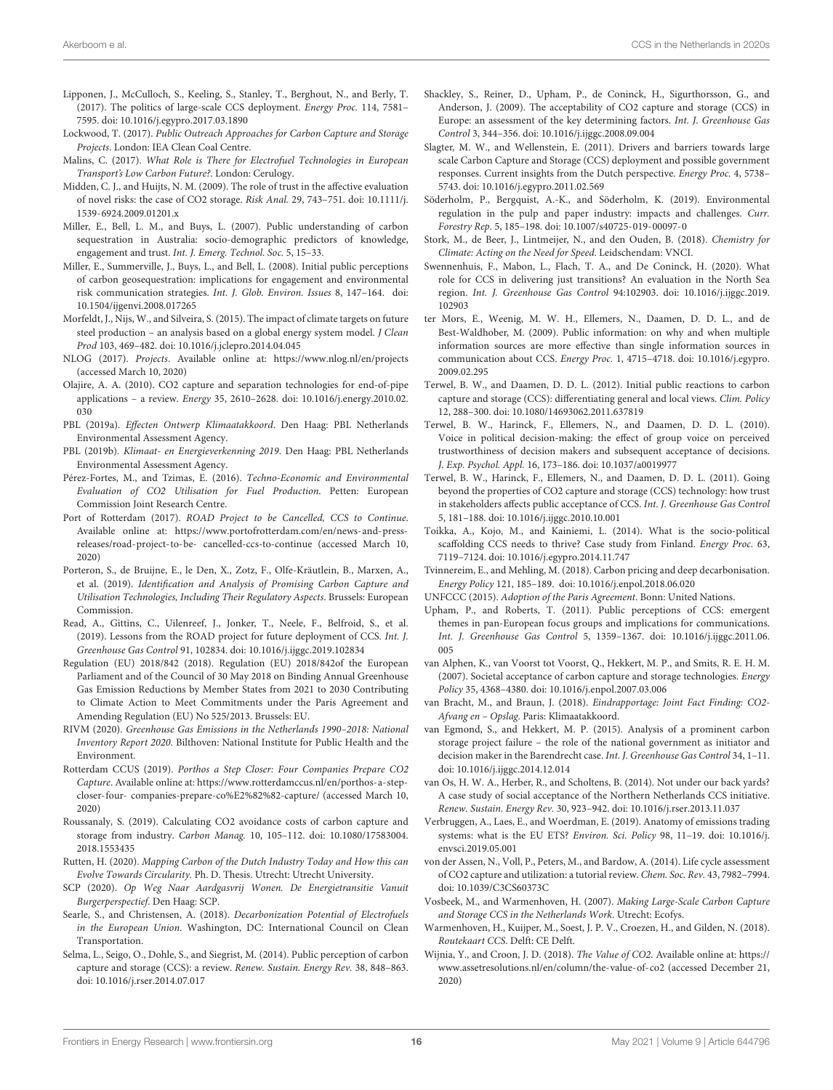- <span id="page-15-23"></span>Lipponen, J., McCulloch, S., Keeling, S., Stanley, T., Berghout, N., and Berly, T. (2017). The politics of large-scale CCS deployment. Energy Proc. 114, 7581– 7595. [doi: 10.1016/j.egypro.2017.03.1890](https://doi.org/10.1016/j.egypro.2017.03.1890)
- <span id="page-15-7"></span>Lockwood, T. (2017). Public Outreach Approaches for Carbon Capture and Storage Projects. London: IEA Clean Coal Centre.
- <span id="page-15-18"></span>Malins, C. (2017). What Role is There for Electrofuel Technologies in European Transport's Low Carbon Future?. London: Cerulogy.
- <span id="page-15-43"></span>Midden, C. J., and Huijts, N. M. (2009). The role of trust in the affective evaluation of novel risks: the case of CO2 storage. Risk Anal. 29, 743–751. [doi: 10.1111/j.](https://doi.org/10.1111/j.1539-6924.2009.01201.x) [1539-6924.2009.01201.x](https://doi.org/10.1111/j.1539-6924.2009.01201.x)
- <span id="page-15-41"></span>Miller, E., Bell, L. M., and Buys, L. (2007). Public understanding of carbon sequestration in Australia: socio-demographic predictors of knowledge, engagement and trust. Int. J. Emerg. Technol. Soc. 5, 15–33.
- <span id="page-15-42"></span>Miller, E., Summerville, J., Buys, L., and Bell, L. (2008). Initial public perceptions of carbon geosequestration: implications for engagement and environmental risk communication strategies. Int. J. Glob. Environ. Issues 8, 147–164. [doi:](https://doi.org/10.1504/ijgenvi.2008.017265) [10.1504/ijgenvi.2008.017265](https://doi.org/10.1504/ijgenvi.2008.017265)
- <span id="page-15-30"></span>Morfeldt, J., Nijs, W., and Silveira, S. (2015). The impact of climate targets on future steel production – an analysis based on a global energy system model. J Clean Prod 103, 469–482. [doi: 10.1016/j.jclepro.2014.04.045](https://doi.org/10.1016/j.jclepro.2014.04.045)
- <span id="page-15-9"></span>NLOG (2017). Projects. Available online at: <https://www.nlog.nl/en/projects> (accessed March 10, 2020)
- <span id="page-15-13"></span>Olajire, A. A. (2010). CO2 capture and separation technologies for end-of-pipe applications – a review. Energy 35, 2610–2628. [doi: 10.1016/j.energy.2010.02.](https://doi.org/10.1016/j.energy.2010.02.030) [030](https://doi.org/10.1016/j.energy.2010.02.030)
- <span id="page-15-6"></span>PBL (2019a). Effecten Ontwerp Klimaatakkoord. Den Haag: PBL Netherlands Environmental Assessment Agency.
- <span id="page-15-1"></span>PBL (2019b). Klimaat- en Energieverkenning 2019. Den Haag: PBL Netherlands Environmental Assessment Agency.
- <span id="page-15-15"></span>Pérez-Fortes, M., and Tzimas, E. (2016). Techno-Economic and Environmental Evaluation of CO2 Utilisation for Fuel Production. Petten: European Commission Joint Research Centre.
- <span id="page-15-10"></span>Port of Rotterdam (2017). ROAD Project to be Cancelled, CCS to Continue. Available online at: [https://www.portofrotterdam.com/en/news-and-press](https://www.portofrotterdam.com/en/news-and-press-releases/road-project-to-be-)[releases/road-project-to-be-](https://www.portofrotterdam.com/en/news-and-press-releases/road-project-to-be-) cancelled-ccs-to-continue (accessed March 10, 2020)
- <span id="page-15-16"></span>Porteron, S., de Bruijne, E., le Den, X., Zotz, F., Olfe-Kräutlein, B., Marxen, A., et al. (2019). Identification and Analysis of Promising Carbon Capture and Utilisation Technologies, Including Their Regulatory Aspects. Brussels: European Commission.
- <span id="page-15-5"></span>Read, A., Gittins, C., Uilenreef, J., Jonker, T., Neele, F., Belfroid, S., et al. (2019). Lessons from the ROAD project for future deployment of CCS. Int. J. Greenhouse Gas Control 91, 102834. [doi: 10.1016/j.ijggc.2019.102834](https://doi.org/10.1016/j.ijggc.2019.102834)
- <span id="page-15-24"></span>Regulation (EU) 2018/842 (2018). Regulation (EU) 2018/842of the European Parliament and of the Council of 30 May 2018 on Binding Annual Greenhouse Gas Emission Reductions by Member States from 2021 to 2030 Contributing to Climate Action to Meet Commitments under the Paris Agreement and Amending Regulation (EU) No 525/2013. Brussels: EU.
- <span id="page-15-17"></span>RIVM (2020). Greenhouse Gas Emissions in the Netherlands 1990–2018: National Inventory Report 2020. Bilthoven: National Institute for Public Health and the Environment.
- <span id="page-15-11"></span>Rotterdam CCUS (2019). Porthos a Step Closer: Four Companies Prepare CO2 Capture. Available online at: [https://www.rotterdamccus.nl/en/porthos-a-step](https://www.rotterdamccus.nl/en/porthos-a-step-closer-four-)[closer-four-](https://www.rotterdamccus.nl/en/porthos-a-step-closer-four-) companies-prepare-co%E2%82%82-capture/ (accessed March 10, 2020)
- <span id="page-15-29"></span>Roussanaly, S. (2019). Calculating CO2 avoidance costs of carbon capture and storage from industry. Carbon Manag. 10, 105–112. [doi: 10.1080/17583004.](https://doi.org/10.1080/17583004.2018.1553435) [2018.1553435](https://doi.org/10.1080/17583004.2018.1553435)
- <span id="page-15-21"></span>Rutten, H. (2020). Mapping Carbon of the Dutch Industry Today and How this can Evolve Towards Circularity. Ph. D. Thesis. Utrecht: Utrecht University.
- <span id="page-15-34"></span>SCP (2020). Op Weg Naar Aardgasvrij Wonen. De Energietransitie Vanuit Burgerperspectief. Den Haag: SCP.
- <span id="page-15-19"></span>Searle, S., and Christensen, A. (2018). Decarbonization Potential of Electrofuels in the European Union. Washington, DC: International Council on Clean Transportation.
- <span id="page-15-32"></span>Selma, L., Seigo, O., Dohle, S., and Siegrist, M. (2014). Public perception of carbon capture and storage (CCS): a review. Renew. Sustain. Energy Rev. 38, 848–863. [doi: 10.1016/j.rser.2014.07.017](https://doi.org/10.1016/j.rser.2014.07.017)
- <span id="page-15-39"></span>Shackley, S., Reiner, D., Upham, P., de Coninck, H., Sigurthorsson, G., and Anderson, J. (2009). The acceptability of CO2 capture and storage (CCS) in Europe: an assessment of the key determining factors. Int. J. Greenhouse Gas Control 3, 344–356. [doi: 10.1016/j.ijggc.2008.09.004](https://doi.org/10.1016/j.ijggc.2008.09.004)
- <span id="page-15-22"></span>Slagter, M. W., and Wellenstein, E. (2011). Drivers and barriers towards large scale Carbon Capture and Storage (CCS) deployment and possible government responses. Current insights from the Dutch perspective. Energy Proc. 4, 5738– 5743. [doi: 10.1016/j.egypro.2011.02.569](https://doi.org/10.1016/j.egypro.2011.02.569)
- <span id="page-15-27"></span>Söderholm, P., Bergquist, A.-K., and Söderholm, K. (2019). Environmental regulation in the pulp and paper industry: impacts and challenges. Curr. Forestry Rep. 5, 185–198. [doi: 10.1007/s40725-019-00097-0](https://doi.org/10.1007/s40725-019-00097-0)
- <span id="page-15-20"></span>Stork, M., de Beer, J., Lintmeijer, N., and den Ouden, B. (2018). Chemistry for Climate: Acting on the Need for Speed. Leidschendam: VNCI.
- <span id="page-15-35"></span>Swennenhuis, F., Mabon, L., Flach, T. A., and De Coninck, H. (2020). What role for CCS in delivering just transitions? An evaluation in the North Sea region. Int. J. Greenhouse Gas Control 94:102903. [doi: 10.1016/j.ijggc.2019.](https://doi.org/10.1016/j.ijggc.2019.102903) [102903](https://doi.org/10.1016/j.ijggc.2019.102903)
- <span id="page-15-37"></span>ter Mors, E., Weenig, M. W. H., Ellemers, N., Daamen, D. D. L., and de Best-Waldhober, M. (2009). Public information: on why and when multiple information sources are more effective than single information sources in communication about CCS. Energy Proc. 1, 4715–4718. [doi: 10.1016/j.egypro.](https://doi.org/10.1016/j.egypro.2009.02.295) [2009.02.295](https://doi.org/10.1016/j.egypro.2009.02.295)
- <span id="page-15-2"></span>Terwel, B. W., and Daamen, D. D. L. (2012). Initial public reactions to carbon capture and storage (CCS): differentiating general and local views. Clim. Policy 12, 288–300. [doi: 10.1080/14693062.2011.637819](https://doi.org/10.1080/14693062.2011.637819)
- <span id="page-15-38"></span>Terwel, B. W., Harinck, F., Ellemers, N., and Daamen, D. D. L. (2010). Voice in political decision-making: the effect of group voice on perceived trustworthiness of decision makers and subsequent acceptance of decisions. J. Exp. Psychol. Appl. 16, 173–186. [doi: 10.1037/a0019977](https://doi.org/10.1037/a0019977)
- <span id="page-15-36"></span>Terwel, B. W., Harinck, F., Ellemers, N., and Daamen, D. D. L. (2011). Going beyond the properties of CO2 capture and storage (CCS) technology: how trust in stakeholders affects public acceptance of CCS. Int. J. Greenhouse Gas Control 5, 181–188. [doi: 10.1016/j.ijggc.2010.10.001](https://doi.org/10.1016/j.ijggc.2010.10.001)
- <span id="page-15-33"></span>Toikka, A., Kojo, M., and Kainiemi, L. (2014). What is the socio-political scaffolding CCS needs to thrive? Case study from Finland. Energy Proc. 63, 7119–7124. [doi: 10.1016/j.egypro.2014.11.747](https://doi.org/10.1016/j.egypro.2014.11.747)
- <span id="page-15-26"></span>Tvinnereim, E., and Mehling, M. (2018). Carbon pricing and deep decarbonisation. Energy Policy 121, 185–189. [doi: 10.1016/j.enpol.2018.06.020](https://doi.org/10.1016/j.enpol.2018.06.020)
- <span id="page-15-40"></span><span id="page-15-0"></span>UNFCCC (2015). Adoption of the Paris Agreement. Bonn: United Nations.
- Upham, P., and Roberts, T. (2011). Public perceptions of CCS: emergent themes in pan-European focus groups and implications for communications. Int. J. Greenhouse Gas Control 5, 1359–1367. [doi: 10.1016/j.ijggc.2011.06.](https://doi.org/10.1016/j.ijggc.2011.06.005) [005](https://doi.org/10.1016/j.ijggc.2011.06.005)
- <span id="page-15-31"></span>van Alphen, K., van Voorst tot Voorst, Q., Hekkert, M. P., and Smits, R. E. H. M. (2007). Societal acceptance of carbon capture and storage technologies. Energy Policy 35, 4368–4380. [doi: 10.1016/j.enpol.2007.03.006](https://doi.org/10.1016/j.enpol.2007.03.006)
- <span id="page-15-12"></span>van Bracht, M., and Braun, J. (2018). Eindrapportage: Joint Fact Finding: CO2- Afvang en – Opslag. Paris: Klimaatakkoord.
- <span id="page-15-4"></span>van Egmond, S., and Hekkert, M. P. (2015). Analysis of a prominent carbon storage project failure – the role of the national government as initiator and decision maker in the Barendrecht case. Int. J. Greenhouse Gas Control 34, 1–11. [doi: 10.1016/j.ijggc.2014.12.014](https://doi.org/10.1016/j.ijggc.2014.12.014)
- <span id="page-15-3"></span>van Os, H. W. A., Herber, R., and Scholtens, B. (2014). Not under our back yards? A case study of social acceptance of the Northern Netherlands CCS initiative. Renew. Sustain. Energy Rev. 30, 923–942. [doi: 10.1016/j.rser.2013.11.037](https://doi.org/10.1016/j.rser.2013.11.037)
- <span id="page-15-25"></span>Verbruggen, A., Laes, E., and Woerdman, E. (2019). Anatomy of emissions trading systems: what is the EU ETS? Environ. Sci. Policy 98, 11–19. [doi: 10.1016/j.](https://doi.org/10.1016/j.envsci.2019.05.001) [envsci.2019.05.001](https://doi.org/10.1016/j.envsci.2019.05.001)
- <span id="page-15-14"></span>von der Assen, N., Voll, P., Peters, M., and Bardow, A. (2014). Life cycle assessment of CO2 capture and utilization: a tutorial review. Chem. Soc. Rev. 43, 7982–7994. [doi: 10.1039/C3CS60373C](https://doi.org/10.1039/C3CS60373C)
- <span id="page-15-44"></span>Vosbeek, M., and Warmenhoven, H. (2007). Making Large-Scale Carbon Capture and Storage CCS in the Netherlands Work. Utrecht: Ecofys.
- <span id="page-15-8"></span>Warmenhoven, H., Kuijper, M., Soest, J. P. V., Croezen, H., and Gilden, N. (2018). Routekaart CCS. Delft: CE Delft.
- <span id="page-15-28"></span>Wijnia, Y., and Croon, J. D. (2018). The Value of CO2. Available online at: [https://](https://www.assetresolutions.nl/en/column/the-value-of-co2) [www.assetresolutions.nl/en/column/the-value-of-co2](https://www.assetresolutions.nl/en/column/the-value-of-co2) (accessed December 21, 2020)